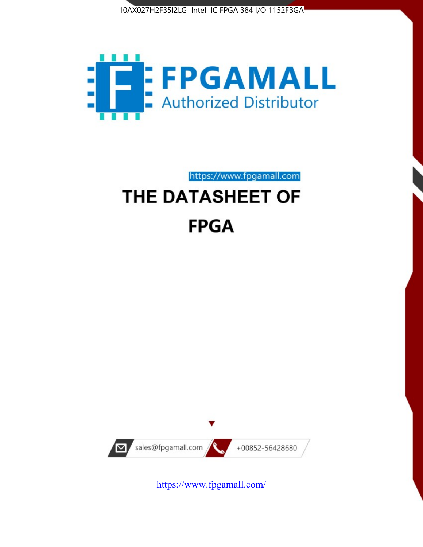



https://www.fpgamall.com THE DATASHEET OF

# **FPGA**



<https://www.fpgamall.com/>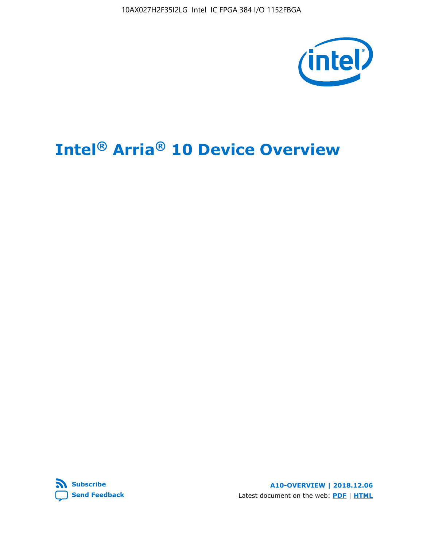

# **Intel® Arria® 10 Device Overview**



**A10-OVERVIEW | 2018.12.06** Latest document on the web: **[PDF](https://www.intel.com/content/dam/www/programmable/us/en/pdfs/literature/hb/arria-10/a10_overview.pdf)** | **[HTML](https://www.intel.com/content/www/us/en/programmable/documentation/sam1403480274650.html)**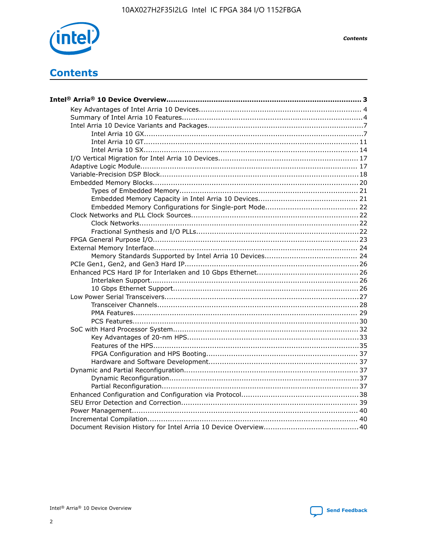

**Contents** 

# **Contents**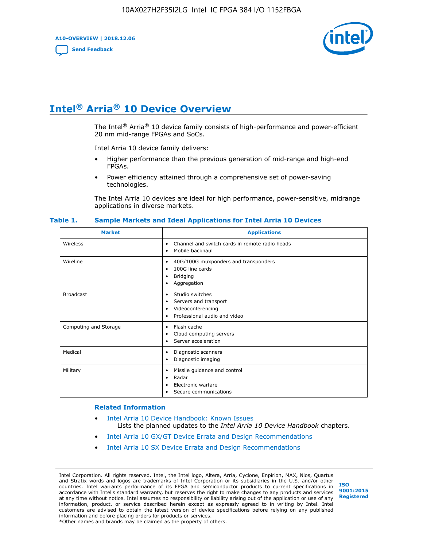**A10-OVERVIEW | 2018.12.06**

**[Send Feedback](mailto:FPGAtechdocfeedback@intel.com?subject=Feedback%20on%20Intel%20Arria%2010%20Device%20Overview%20(A10-OVERVIEW%202018.12.06)&body=We%20appreciate%20your%20feedback.%20In%20your%20comments,%20also%20specify%20the%20page%20number%20or%20paragraph.%20Thank%20you.)**



# **Intel® Arria® 10 Device Overview**

The Intel<sup>®</sup> Arria<sup>®</sup> 10 device family consists of high-performance and power-efficient 20 nm mid-range FPGAs and SoCs.

Intel Arria 10 device family delivers:

- Higher performance than the previous generation of mid-range and high-end FPGAs.
- Power efficiency attained through a comprehensive set of power-saving technologies.

The Intel Arria 10 devices are ideal for high performance, power-sensitive, midrange applications in diverse markets.

| <b>Market</b>         | <b>Applications</b>                                                                                               |
|-----------------------|-------------------------------------------------------------------------------------------------------------------|
| Wireless              | Channel and switch cards in remote radio heads<br>٠<br>Mobile backhaul<br>٠                                       |
| Wireline              | 40G/100G muxponders and transponders<br>٠<br>100G line cards<br>٠<br><b>Bridging</b><br>٠<br>Aggregation<br>٠     |
| <b>Broadcast</b>      | Studio switches<br>٠<br>Servers and transport<br>٠<br>Videoconferencing<br>٠<br>Professional audio and video<br>٠ |
| Computing and Storage | Flash cache<br>٠<br>Cloud computing servers<br>٠<br>Server acceleration<br>٠                                      |
| Medical               | Diagnostic scanners<br>٠<br>Diagnostic imaging<br>٠                                                               |
| Military              | Missile guidance and control<br>٠<br>Radar<br>٠<br>Electronic warfare<br>٠<br>Secure communications<br>٠          |

#### **Table 1. Sample Markets and Ideal Applications for Intel Arria 10 Devices**

#### **Related Information**

- [Intel Arria 10 Device Handbook: Known Issues](http://www.altera.com/support/kdb/solutions/rd07302013_646.html) Lists the planned updates to the *Intel Arria 10 Device Handbook* chapters.
- [Intel Arria 10 GX/GT Device Errata and Design Recommendations](https://www.intel.com/content/www/us/en/programmable/documentation/agz1493851706374.html#yqz1494433888646)
- [Intel Arria 10 SX Device Errata and Design Recommendations](https://www.intel.com/content/www/us/en/programmable/documentation/cru1462832385668.html#cru1462832558642)

Intel Corporation. All rights reserved. Intel, the Intel logo, Altera, Arria, Cyclone, Enpirion, MAX, Nios, Quartus and Stratix words and logos are trademarks of Intel Corporation or its subsidiaries in the U.S. and/or other countries. Intel warrants performance of its FPGA and semiconductor products to current specifications in accordance with Intel's standard warranty, but reserves the right to make changes to any products and services at any time without notice. Intel assumes no responsibility or liability arising out of the application or use of any information, product, or service described herein except as expressly agreed to in writing by Intel. Intel customers are advised to obtain the latest version of device specifications before relying on any published information and before placing orders for products or services. \*Other names and brands may be claimed as the property of others.

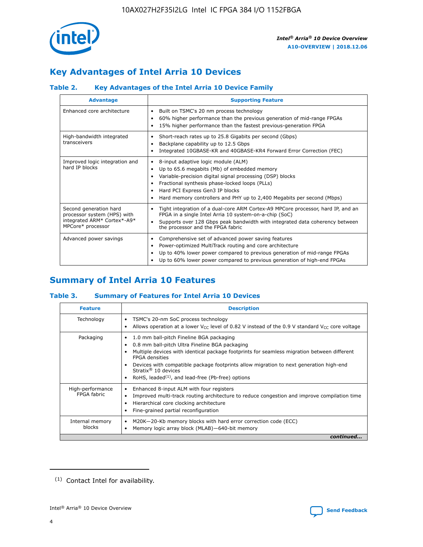

# **Key Advantages of Intel Arria 10 Devices**

# **Table 2. Key Advantages of the Intel Arria 10 Device Family**

| <b>Advantage</b>                                                                                          | <b>Supporting Feature</b>                                                                                                                                                                                                                                                                                                |
|-----------------------------------------------------------------------------------------------------------|--------------------------------------------------------------------------------------------------------------------------------------------------------------------------------------------------------------------------------------------------------------------------------------------------------------------------|
| Enhanced core architecture                                                                                | Built on TSMC's 20 nm process technology<br>٠<br>60% higher performance than the previous generation of mid-range FPGAs<br>٠<br>15% higher performance than the fastest previous-generation FPGA<br>٠                                                                                                                    |
| High-bandwidth integrated<br>transceivers                                                                 | Short-reach rates up to 25.8 Gigabits per second (Gbps)<br>٠<br>Backplane capability up to 12.5 Gbps<br>٠<br>Integrated 10GBASE-KR and 40GBASE-KR4 Forward Error Correction (FEC)<br>٠                                                                                                                                   |
| Improved logic integration and<br>hard IP blocks                                                          | 8-input adaptive logic module (ALM)<br>٠<br>Up to 65.6 megabits (Mb) of embedded memory<br>٠<br>Variable-precision digital signal processing (DSP) blocks<br>Fractional synthesis phase-locked loops (PLLs)<br>Hard PCI Express Gen3 IP blocks<br>Hard memory controllers and PHY up to 2,400 Megabits per second (Mbps) |
| Second generation hard<br>processor system (HPS) with<br>integrated ARM* Cortex*-A9*<br>MPCore* processor | Tight integration of a dual-core ARM Cortex-A9 MPCore processor, hard IP, and an<br>٠<br>FPGA in a single Intel Arria 10 system-on-a-chip (SoC)<br>Supports over 128 Gbps peak bandwidth with integrated data coherency between<br>$\bullet$<br>the processor and the FPGA fabric                                        |
| Advanced power savings                                                                                    | Comprehensive set of advanced power saving features<br>٠<br>Power-optimized MultiTrack routing and core architecture<br>٠<br>Up to 40% lower power compared to previous generation of mid-range FPGAs<br>Up to 60% lower power compared to previous generation of high-end FPGAs                                         |

# **Summary of Intel Arria 10 Features**

## **Table 3. Summary of Features for Intel Arria 10 Devices**

| <b>Feature</b>                  | <b>Description</b>                                                                                                                                                                                                                                                                                                                                                                                       |
|---------------------------------|----------------------------------------------------------------------------------------------------------------------------------------------------------------------------------------------------------------------------------------------------------------------------------------------------------------------------------------------------------------------------------------------------------|
| Technology                      | TSMC's 20-nm SoC process technology<br>٠<br>Allows operation at a lower $V_{\text{CC}}$ level of 0.82 V instead of the 0.9 V standard $V_{\text{CC}}$ core voltage                                                                                                                                                                                                                                       |
| Packaging                       | 1.0 mm ball-pitch Fineline BGA packaging<br>0.8 mm ball-pitch Ultra Fineline BGA packaging<br>Multiple devices with identical package footprints for seamless migration between different<br><b>FPGA</b> densities<br>Devices with compatible package footprints allow migration to next generation high-end<br>Stratix $\mathcal{R}$ 10 devices<br>RoHS, leaded $(1)$ , and lead-free (Pb-free) options |
| High-performance<br>FPGA fabric | Enhanced 8-input ALM with four registers<br>٠<br>Improved multi-track routing architecture to reduce congestion and improve compilation time<br>Hierarchical core clocking architecture<br>Fine-grained partial reconfiguration                                                                                                                                                                          |
| Internal memory<br>blocks       | M20K-20-Kb memory blocks with hard error correction code (ECC)<br>Memory logic array block (MLAB)-640-bit memory                                                                                                                                                                                                                                                                                         |
|                                 | continued                                                                                                                                                                                                                                                                                                                                                                                                |



<sup>(1)</sup> Contact Intel for availability.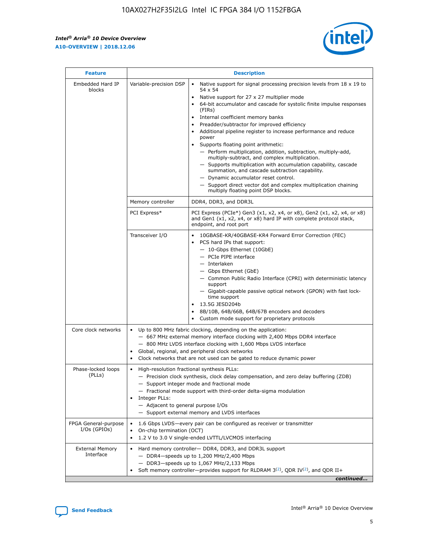$\mathsf{r}$ 



| <b>Feature</b>                         | <b>Description</b>                                                                                |                                                                                                                                                                                                                                                                                                                                                                                                                                                                                                                                                                                                                                                                                                                                                                                                                                        |  |  |  |  |  |
|----------------------------------------|---------------------------------------------------------------------------------------------------|----------------------------------------------------------------------------------------------------------------------------------------------------------------------------------------------------------------------------------------------------------------------------------------------------------------------------------------------------------------------------------------------------------------------------------------------------------------------------------------------------------------------------------------------------------------------------------------------------------------------------------------------------------------------------------------------------------------------------------------------------------------------------------------------------------------------------------------|--|--|--|--|--|
| Embedded Hard IP<br>blocks             | Variable-precision DSP                                                                            | Native support for signal processing precision levels from $18 \times 19$ to<br>54 x 54<br>Native support for 27 x 27 multiplier mode<br>64-bit accumulator and cascade for systolic finite impulse responses<br>(FIRs)<br>Internal coefficient memory banks<br>$\bullet$<br>Preadder/subtractor for improved efficiency<br>Additional pipeline register to increase performance and reduce<br>power<br>Supports floating point arithmetic:<br>- Perform multiplication, addition, subtraction, multiply-add,<br>multiply-subtract, and complex multiplication.<br>- Supports multiplication with accumulation capability, cascade<br>summation, and cascade subtraction capability.<br>- Dynamic accumulator reset control.<br>- Support direct vector dot and complex multiplication chaining<br>multiply floating point DSP blocks. |  |  |  |  |  |
|                                        | Memory controller                                                                                 | DDR4, DDR3, and DDR3L                                                                                                                                                                                                                                                                                                                                                                                                                                                                                                                                                                                                                                                                                                                                                                                                                  |  |  |  |  |  |
|                                        | PCI Express*                                                                                      | PCI Express (PCIe*) Gen3 (x1, x2, x4, or x8), Gen2 (x1, x2, x4, or x8)<br>and Gen1 (x1, x2, x4, or x8) hard IP with complete protocol stack,<br>endpoint, and root port                                                                                                                                                                                                                                                                                                                                                                                                                                                                                                                                                                                                                                                                |  |  |  |  |  |
|                                        | Transceiver I/O                                                                                   | 10GBASE-KR/40GBASE-KR4 Forward Error Correction (FEC)<br>PCS hard IPs that support:<br>- 10-Gbps Ethernet (10GbE)<br>- PCIe PIPE interface<br>- Interlaken<br>- Gbps Ethernet (GbE)<br>- Common Public Radio Interface (CPRI) with deterministic latency<br>support<br>- Gigabit-capable passive optical network (GPON) with fast lock-<br>time support<br>13.5G JESD204b<br>8B/10B, 64B/66B, 64B/67B encoders and decoders<br>Custom mode support for proprietary protocols                                                                                                                                                                                                                                                                                                                                                           |  |  |  |  |  |
| Core clock networks                    | $\bullet$<br>$\bullet$                                                                            | Up to 800 MHz fabric clocking, depending on the application:<br>- 667 MHz external memory interface clocking with 2,400 Mbps DDR4 interface<br>- 800 MHz LVDS interface clocking with 1,600 Mbps LVDS interface<br>Global, regional, and peripheral clock networks<br>Clock networks that are not used can be gated to reduce dynamic power                                                                                                                                                                                                                                                                                                                                                                                                                                                                                            |  |  |  |  |  |
| Phase-locked loops<br>(PLLs)           | High-resolution fractional synthesis PLLs:<br>Integer PLLs:<br>- Adjacent to general purpose I/Os | - Precision clock synthesis, clock delay compensation, and zero delay buffering (ZDB)<br>- Support integer mode and fractional mode<br>- Fractional mode support with third-order delta-sigma modulation<br>- Support external memory and LVDS interfaces                                                                                                                                                                                                                                                                                                                                                                                                                                                                                                                                                                              |  |  |  |  |  |
| FPGA General-purpose<br>$I/Os$ (GPIOs) | On-chip termination (OCT)                                                                         | 1.6 Gbps LVDS—every pair can be configured as receiver or transmitter<br>1.2 V to 3.0 V single-ended LVTTL/LVCMOS interfacing                                                                                                                                                                                                                                                                                                                                                                                                                                                                                                                                                                                                                                                                                                          |  |  |  |  |  |
| <b>External Memory</b><br>Interface    |                                                                                                   | Hard memory controller- DDR4, DDR3, and DDR3L support<br>$-$ DDR4-speeds up to 1,200 MHz/2,400 Mbps<br>$-$ DDR3-speeds up to 1,067 MHz/2,133 Mbps<br>Soft memory controller—provides support for RLDRAM $3^{(2)}$ , QDR IV $(2^2)$ , and QDR II+<br>continued                                                                                                                                                                                                                                                                                                                                                                                                                                                                                                                                                                          |  |  |  |  |  |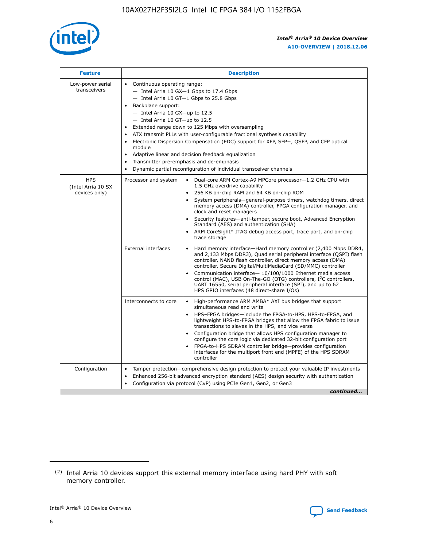

| <b>Feature</b>                                    | <b>Description</b>                                                                                                                                                                                                                                                                                                                                                                                                                                                                                                                                                                                                                                                        |
|---------------------------------------------------|---------------------------------------------------------------------------------------------------------------------------------------------------------------------------------------------------------------------------------------------------------------------------------------------------------------------------------------------------------------------------------------------------------------------------------------------------------------------------------------------------------------------------------------------------------------------------------------------------------------------------------------------------------------------------|
| Low-power serial<br>transceivers                  | • Continuous operating range:<br>- Intel Arria 10 GX-1 Gbps to 17.4 Gbps<br>$-$ Intel Arria 10 GT $-1$ Gbps to 25.8 Gbps<br>Backplane support:<br>$\bullet$<br>$-$ Intel Arria 10 GX-up to 12.5<br>$-$ Intel Arria 10 GT-up to 12.5<br>Extended range down to 125 Mbps with oversampling<br>ATX transmit PLLs with user-configurable fractional synthesis capability<br>Electronic Dispersion Compensation (EDC) support for XFP, SFP+, OSFP, and CFP optical<br>module<br>Adaptive linear and decision feedback equalization<br>$\bullet$<br>Transmitter pre-emphasis and de-emphasis<br>$\bullet$<br>Dynamic partial reconfiguration of individual transceiver channels |
| <b>HPS</b><br>(Intel Arria 10 SX<br>devices only) | Dual-core ARM Cortex-A9 MPCore processor-1.2 GHz CPU with<br>Processor and system<br>$\bullet$<br>1.5 GHz overdrive capability<br>256 KB on-chip RAM and 64 KB on-chip ROM<br>System peripherals-general-purpose timers, watchdog timers, direct<br>memory access (DMA) controller, FPGA configuration manager, and<br>clock and reset managers<br>• Security features—anti-tamper, secure boot, Advanced Encryption<br>Standard (AES) and authentication (SHA)<br>ARM CoreSight* JTAG debug access port, trace port, and on-chip<br>$\bullet$<br>trace storage                                                                                                           |
|                                                   | <b>External interfaces</b><br>Hard memory interface—Hard memory controller (2,400 Mbps DDR4,<br>and 2,133 Mbps DDR3), Quad serial peripheral interface (QSPI) flash<br>controller, NAND flash controller, direct memory access (DMA)<br>controller, Secure Digital/MultiMediaCard (SD/MMC) controller<br>Communication interface-10/100/1000 Ethernet media access<br>$\bullet$<br>control (MAC), USB On-The-GO (OTG) controllers, I <sup>2</sup> C controllers,<br>UART 16550, serial peripheral interface (SPI), and up to 62<br>HPS GPIO interfaces (48 direct-share I/Os)                                                                                             |
|                                                   | Interconnects to core<br>• High-performance ARM AMBA* AXI bus bridges that support<br>simultaneous read and write<br>HPS-FPGA bridges-include the FPGA-to-HPS, HPS-to-FPGA, and<br>$\bullet$<br>lightweight HPS-to-FPGA bridges that allow the FPGA fabric to issue<br>transactions to slaves in the HPS, and vice versa<br>Configuration bridge that allows HPS configuration manager to<br>configure the core logic via dedicated 32-bit configuration port<br>FPGA-to-HPS SDRAM controller bridge-provides configuration<br>interfaces for the multiport front end (MPFE) of the HPS SDRAM<br>controller                                                               |
| Configuration                                     | Tamper protection—comprehensive design protection to protect your valuable IP investments<br>Enhanced 256-bit advanced encryption standard (AES) design security with authentication<br>$\bullet$<br>Configuration via protocol (CvP) using PCIe Gen1, Gen2, or Gen3<br>continued                                                                                                                                                                                                                                                                                                                                                                                         |

<sup>(2)</sup> Intel Arria 10 devices support this external memory interface using hard PHY with soft memory controller.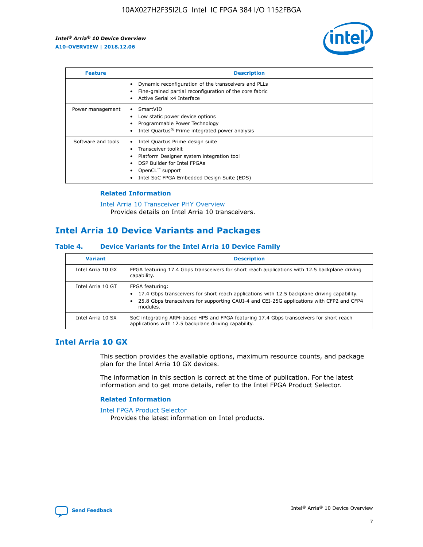

| <b>Feature</b>     | <b>Description</b>                                                                                                                                                                                               |
|--------------------|------------------------------------------------------------------------------------------------------------------------------------------------------------------------------------------------------------------|
|                    | Dynamic reconfiguration of the transceivers and PLLs<br>Fine-grained partial reconfiguration of the core fabric<br>Active Serial x4 Interface<br>$\bullet$                                                       |
| Power management   | SmartVID<br>Low static power device options<br>Programmable Power Technology<br>Intel Quartus <sup>®</sup> Prime integrated power analysis                                                                       |
| Software and tools | Intel Quartus Prime design suite<br>Transceiver toolkit<br>Platform Designer system integration tool<br>DSP Builder for Intel FPGAs<br>OpenCL <sup>™</sup> support<br>Intel SoC FPGA Embedded Design Suite (EDS) |

# **Related Information**

[Intel Arria 10 Transceiver PHY Overview](https://www.intel.com/content/www/us/en/programmable/documentation/nik1398707230472.html#nik1398706768037) Provides details on Intel Arria 10 transceivers.

# **Intel Arria 10 Device Variants and Packages**

#### **Table 4. Device Variants for the Intel Arria 10 Device Family**

| <b>Variant</b>    | <b>Description</b>                                                                                                                                                                                                     |
|-------------------|------------------------------------------------------------------------------------------------------------------------------------------------------------------------------------------------------------------------|
| Intel Arria 10 GX | FPGA featuring 17.4 Gbps transceivers for short reach applications with 12.5 backplane driving<br>capability.                                                                                                          |
| Intel Arria 10 GT | FPGA featuring:<br>17.4 Gbps transceivers for short reach applications with 12.5 backplane driving capability.<br>25.8 Gbps transceivers for supporting CAUI-4 and CEI-25G applications with CFP2 and CFP4<br>modules. |
| Intel Arria 10 SX | SoC integrating ARM-based HPS and FPGA featuring 17.4 Gbps transceivers for short reach<br>applications with 12.5 backplane driving capability.                                                                        |

# **Intel Arria 10 GX**

This section provides the available options, maximum resource counts, and package plan for the Intel Arria 10 GX devices.

The information in this section is correct at the time of publication. For the latest information and to get more details, refer to the Intel FPGA Product Selector.

#### **Related Information**

#### [Intel FPGA Product Selector](http://www.altera.com/products/selector/psg-selector.html) Provides the latest information on Intel products.

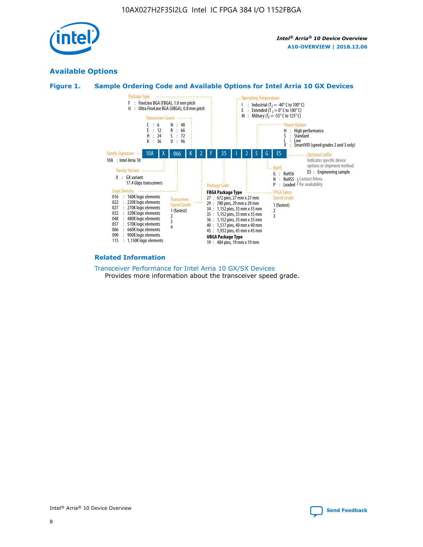

# **Available Options**





#### **Related Information**

[Transceiver Performance for Intel Arria 10 GX/SX Devices](https://www.intel.com/content/www/us/en/programmable/documentation/mcn1413182292568.html#mcn1413213965502) Provides more information about the transceiver speed grade.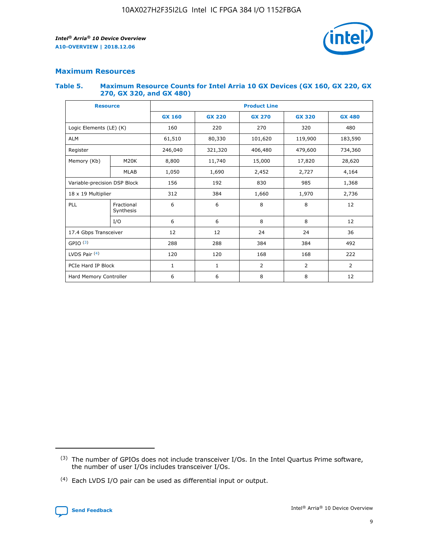

# **Maximum Resources**

#### **Table 5. Maximum Resource Counts for Intel Arria 10 GX Devices (GX 160, GX 220, GX 270, GX 320, and GX 480)**

| <b>Resource</b>         |                                                   | <b>Product Line</b> |                  |                    |                |                |  |  |
|-------------------------|---------------------------------------------------|---------------------|------------------|--------------------|----------------|----------------|--|--|
|                         |                                                   | <b>GX 160</b>       | <b>GX 220</b>    | <b>GX 270</b>      | <b>GX 320</b>  | <b>GX 480</b>  |  |  |
| Logic Elements (LE) (K) |                                                   | 160                 | 220              | 270                | 320            | 480            |  |  |
| <b>ALM</b>              |                                                   | 61,510              | 80,330           | 101,620            | 119,900        | 183,590        |  |  |
| Register                |                                                   | 246,040             | 321,320          | 406,480<br>479,600 |                | 734,360        |  |  |
| Memory (Kb)             | M <sub>20</sub> K                                 | 8,800               | 11,740<br>15,000 |                    | 17,820         | 28,620         |  |  |
| <b>MLAB</b>             |                                                   | 1,050               | 1,690            | 2,452              | 2,727          | 4,164          |  |  |
|                         | Variable-precision DSP Block<br>156<br>192<br>830 |                     |                  |                    | 985            | 1,368          |  |  |
| 18 x 19 Multiplier      |                                                   | 312                 | 384              | 1,970<br>1,660     |                | 2,736          |  |  |
| PLL                     | Fractional<br>Synthesis                           | 6                   | 6                | 8                  | 8              | 12             |  |  |
|                         | I/O                                               | 6                   | 6                | 8                  | 8              | 12             |  |  |
| 17.4 Gbps Transceiver   |                                                   | 12                  | 12               | 24                 | 24             | 36             |  |  |
| GPIO <sup>(3)</sup>     |                                                   | 288                 | 288              | 384<br>384         |                | 492            |  |  |
| LVDS Pair $(4)$         |                                                   | 120                 | 120              | 168                | 168            | 222            |  |  |
| PCIe Hard IP Block      |                                                   | 1                   | 1                | 2                  | $\overline{2}$ | $\overline{2}$ |  |  |
| Hard Memory Controller  |                                                   | 6                   | 6                | 8                  | 8              | 12             |  |  |

<sup>(4)</sup> Each LVDS I/O pair can be used as differential input or output.



<sup>(3)</sup> The number of GPIOs does not include transceiver I/Os. In the Intel Quartus Prime software, the number of user I/Os includes transceiver I/Os.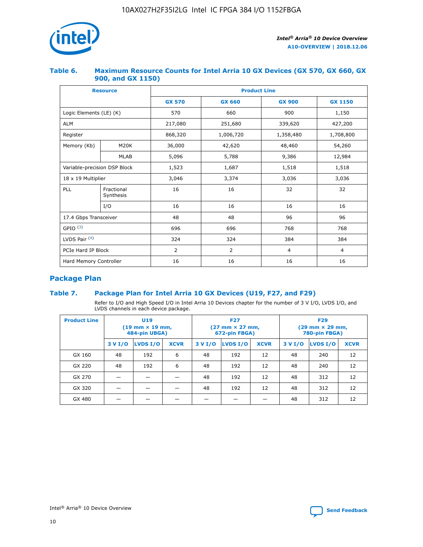

## **Table 6. Maximum Resource Counts for Intel Arria 10 GX Devices (GX 570, GX 660, GX 900, and GX 1150)**

|                              | <b>Resource</b>         | <b>Product Line</b> |                |                |                |  |  |  |
|------------------------------|-------------------------|---------------------|----------------|----------------|----------------|--|--|--|
|                              |                         | <b>GX 570</b>       | <b>GX 660</b>  | <b>GX 900</b>  | <b>GX 1150</b> |  |  |  |
| Logic Elements (LE) (K)      |                         | 570                 | 660            | 900            | 1,150          |  |  |  |
| <b>ALM</b>                   |                         | 217,080             | 251,680        | 339,620        | 427,200        |  |  |  |
| Register                     |                         | 868,320             | 1,006,720      | 1,358,480      | 1,708,800      |  |  |  |
| Memory (Kb)                  | <b>M20K</b>             | 36,000              | 42,620         | 48,460         | 54,260         |  |  |  |
|                              | <b>MLAB</b>             | 5,096               | 5,788          | 9,386          | 12,984         |  |  |  |
| Variable-precision DSP Block |                         | 1,523               | 1,687          | 1,518          | 1,518          |  |  |  |
|                              | 18 x 19 Multiplier      |                     | 3,374          | 3,036          | 3,036          |  |  |  |
| PLL                          | Fractional<br>Synthesis | 16                  | 16             | 32             | 32             |  |  |  |
|                              | I/O                     | 16                  | 16             | 16             | 16             |  |  |  |
| 17.4 Gbps Transceiver        |                         | 48                  | 48             | 96             | 96             |  |  |  |
| GPIO <sup>(3)</sup>          |                         | 696                 | 696            | 768            | 768            |  |  |  |
| LVDS Pair $(4)$              |                         | 324                 | 324            | 384            | 384            |  |  |  |
| PCIe Hard IP Block           |                         | 2                   | $\overline{2}$ | $\overline{4}$ | $\overline{4}$ |  |  |  |
| Hard Memory Controller       |                         | 16                  | 16             | 16             | 16             |  |  |  |

# **Package Plan**

# **Table 7. Package Plan for Intel Arria 10 GX Devices (U19, F27, and F29)**

Refer to I/O and High Speed I/O in Intel Arria 10 Devices chapter for the number of 3 V I/O, LVDS I/O, and LVDS channels in each device package.

| <b>Product Line</b> | <b>U19</b><br>$(19 \text{ mm} \times 19 \text{ mm})$<br>484-pin UBGA) |          |             |         | <b>F27</b><br>(27 mm × 27 mm,<br>672-pin FBGA) |             | <b>F29</b><br>(29 mm × 29 mm,<br>780-pin FBGA) |          |             |  |
|---------------------|-----------------------------------------------------------------------|----------|-------------|---------|------------------------------------------------|-------------|------------------------------------------------|----------|-------------|--|
|                     | 3 V I/O                                                               | LVDS I/O | <b>XCVR</b> | 3 V I/O | LVDS I/O                                       | <b>XCVR</b> | 3 V I/O                                        | LVDS I/O | <b>XCVR</b> |  |
| GX 160              | 48                                                                    | 192      | 6           | 48      | 192                                            | 12          | 48                                             | 240      | 12          |  |
| GX 220              | 48                                                                    | 192      | 6           | 48      | 192                                            | 12          | 48                                             | 240      | 12          |  |
| GX 270              |                                                                       |          |             | 48      | 192                                            | 12          | 48                                             | 312      | 12          |  |
| GX 320              |                                                                       |          |             | 48      | 192                                            | 12          | 48                                             | 312      | 12          |  |
| GX 480              |                                                                       |          |             |         |                                                |             | 48                                             | 312      | 12          |  |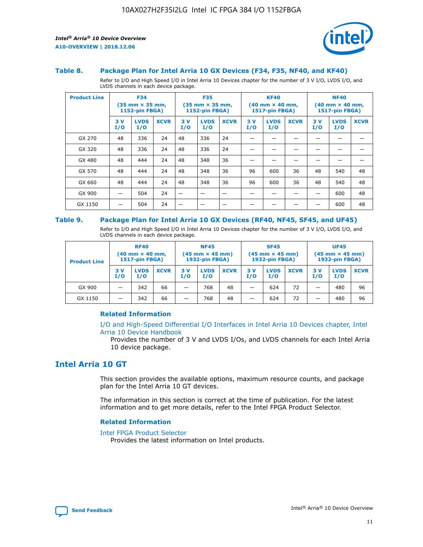

#### **Table 8. Package Plan for Intel Arria 10 GX Devices (F34, F35, NF40, and KF40)**

Refer to I/O and High Speed I/O in Intel Arria 10 Devices chapter for the number of 3 V I/O, LVDS I/O, and LVDS channels in each device package.

| <b>Product Line</b> |           | <b>F34</b><br>$(35 \text{ mm} \times 35 \text{ mm})$<br>1152-pin FBGA) |             | <b>F35</b><br>$(35$ mm $\times$ 35 mm,<br><b>1152-pin FBGA)</b> |                    | <b>KF40</b><br>$(40 \text{ mm} \times 40 \text{ mm})$<br>1517-pin FBGA) |           |                    | <b>NF40</b><br>$(40 \text{ mm} \times 40 \text{ mm})$<br><b>1517-pin FBGA)</b> |            |                    |             |
|---------------------|-----------|------------------------------------------------------------------------|-------------|-----------------------------------------------------------------|--------------------|-------------------------------------------------------------------------|-----------|--------------------|--------------------------------------------------------------------------------|------------|--------------------|-------------|
|                     | 3V<br>I/O | <b>LVDS</b><br>I/O                                                     | <b>XCVR</b> | 3V<br>I/O                                                       | <b>LVDS</b><br>I/O | <b>XCVR</b>                                                             | 3V<br>I/O | <b>LVDS</b><br>I/O | <b>XCVR</b>                                                                    | 3 V<br>I/O | <b>LVDS</b><br>I/O | <b>XCVR</b> |
| GX 270              | 48        | 336                                                                    | 24          | 48                                                              | 336                | 24                                                                      |           |                    |                                                                                |            |                    |             |
| GX 320              | 48        | 336                                                                    | 24          | 48                                                              | 336                | 24                                                                      |           |                    |                                                                                |            |                    |             |
| GX 480              | 48        | 444                                                                    | 24          | 48                                                              | 348                | 36                                                                      |           |                    |                                                                                |            |                    |             |
| GX 570              | 48        | 444                                                                    | 24          | 48                                                              | 348                | 36                                                                      | 96        | 600                | 36                                                                             | 48         | 540                | 48          |
| GX 660              | 48        | 444                                                                    | 24          | 48                                                              | 348                | 36                                                                      | 96        | 600                | 36                                                                             | 48         | 540                | 48          |
| GX 900              |           | 504                                                                    | 24          |                                                                 |                    |                                                                         |           |                    |                                                                                |            | 600                | 48          |
| GX 1150             |           | 504                                                                    | 24          |                                                                 |                    |                                                                         |           |                    |                                                                                |            | 600                | 48          |

#### **Table 9. Package Plan for Intel Arria 10 GX Devices (RF40, NF45, SF45, and UF45)**

Refer to I/O and High Speed I/O in Intel Arria 10 Devices chapter for the number of 3 V I/O, LVDS I/O, and LVDS channels in each device package.

| <b>Product Line</b> | <b>RF40</b><br>$(40$ mm $\times$ 40 mm,<br>1517-pin FBGA) |                    | <b>NF45</b><br>$(45 \text{ mm} \times 45 \text{ mm})$<br><b>1932-pin FBGA)</b> |            |                    | <b>SF45</b><br>$(45 \text{ mm} \times 45 \text{ mm})$<br><b>1932-pin FBGA)</b> |            |                    | <b>UF45</b><br>$(45 \text{ mm} \times 45 \text{ mm})$<br><b>1932-pin FBGA)</b> |           |                    |             |
|---------------------|-----------------------------------------------------------|--------------------|--------------------------------------------------------------------------------|------------|--------------------|--------------------------------------------------------------------------------|------------|--------------------|--------------------------------------------------------------------------------|-----------|--------------------|-------------|
|                     | 3V<br>I/O                                                 | <b>LVDS</b><br>I/O | <b>XCVR</b>                                                                    | 3 V<br>I/O | <b>LVDS</b><br>I/O | <b>XCVR</b>                                                                    | 3 V<br>I/O | <b>LVDS</b><br>I/O | <b>XCVR</b>                                                                    | 3V<br>I/O | <b>LVDS</b><br>I/O | <b>XCVR</b> |
| GX 900              |                                                           | 342                | 66                                                                             | _          | 768                | 48                                                                             |            | 624                | 72                                                                             |           | 480                | 96          |
| GX 1150             |                                                           | 342                | 66                                                                             | _          | 768                | 48                                                                             |            | 624                | 72                                                                             |           | 480                | 96          |

#### **Related Information**

[I/O and High-Speed Differential I/O Interfaces in Intel Arria 10 Devices chapter, Intel](https://www.intel.com/content/www/us/en/programmable/documentation/sam1403482614086.html#sam1403482030321) [Arria 10 Device Handbook](https://www.intel.com/content/www/us/en/programmable/documentation/sam1403482614086.html#sam1403482030321)

Provides the number of 3 V and LVDS I/Os, and LVDS channels for each Intel Arria 10 device package.

# **Intel Arria 10 GT**

This section provides the available options, maximum resource counts, and package plan for the Intel Arria 10 GT devices.

The information in this section is correct at the time of publication. For the latest information and to get more details, refer to the Intel FPGA Product Selector.

#### **Related Information**

#### [Intel FPGA Product Selector](http://www.altera.com/products/selector/psg-selector.html)

Provides the latest information on Intel products.

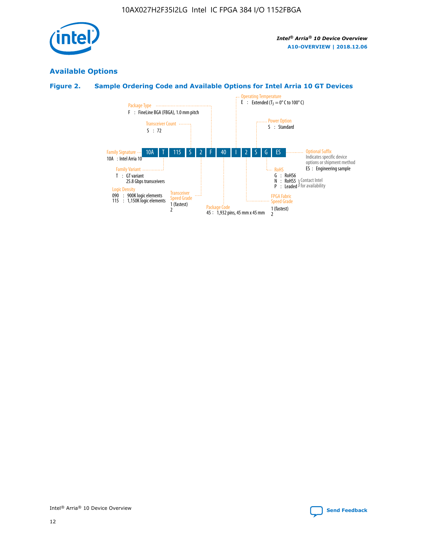

# **Available Options**

# **Figure 2. Sample Ordering Code and Available Options for Intel Arria 10 GT Devices**

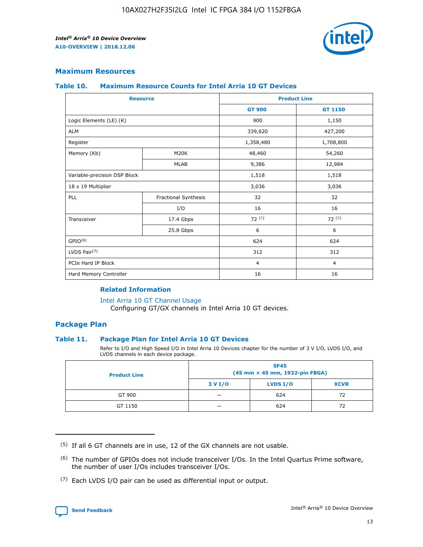

# **Maximum Resources**

#### **Table 10. Maximum Resource Counts for Intel Arria 10 GT Devices**

| <b>Resource</b>              |                      | <b>Product Line</b> |                |  |
|------------------------------|----------------------|---------------------|----------------|--|
|                              |                      | <b>GT 900</b>       | GT 1150        |  |
| Logic Elements (LE) (K)      |                      | 900                 | 1,150          |  |
| <b>ALM</b>                   |                      | 339,620             | 427,200        |  |
| Register                     |                      | 1,358,480           | 1,708,800      |  |
| Memory (Kb)                  | M <sub>20</sub> K    | 48,460              | 54,260         |  |
|                              | <b>MLAB</b>          | 9,386               | 12,984         |  |
| Variable-precision DSP Block |                      | 1,518               | 1,518          |  |
| 18 x 19 Multiplier           |                      | 3,036               | 3,036          |  |
| PLL                          | Fractional Synthesis | 32                  | 32             |  |
|                              | I/O                  | 16                  | 16             |  |
| Transceiver                  | 17.4 Gbps            | 72(5)               | 72(5)          |  |
|                              | 25.8 Gbps            | 6                   | 6              |  |
| GPIO <sup>(6)</sup>          |                      | 624                 | 624            |  |
| LVDS Pair $(7)$              |                      | 312                 | 312            |  |
| PCIe Hard IP Block           |                      | $\overline{4}$      | $\overline{4}$ |  |
| Hard Memory Controller       |                      | 16                  | 16             |  |

#### **Related Information**

#### [Intel Arria 10 GT Channel Usage](https://www.intel.com/content/www/us/en/programmable/documentation/nik1398707230472.html#nik1398707008178)

Configuring GT/GX channels in Intel Arria 10 GT devices.

# **Package Plan**

#### **Table 11. Package Plan for Intel Arria 10 GT Devices**

Refer to I/O and High Speed I/O in Intel Arria 10 Devices chapter for the number of 3 V I/O, LVDS I/O, and LVDS channels in each device package.

| <b>Product Line</b> | <b>SF45</b><br>(45 mm × 45 mm, 1932-pin FBGA) |                 |             |  |  |  |
|---------------------|-----------------------------------------------|-----------------|-------------|--|--|--|
|                     | 3 V I/O                                       | <b>LVDS I/O</b> | <b>XCVR</b> |  |  |  |
| GT 900              |                                               | 624             | 72          |  |  |  |
| GT 1150             |                                               | 624             | 72          |  |  |  |

<sup>(7)</sup> Each LVDS I/O pair can be used as differential input or output.



 $(5)$  If all 6 GT channels are in use, 12 of the GX channels are not usable.

<sup>(6)</sup> The number of GPIOs does not include transceiver I/Os. In the Intel Quartus Prime software, the number of user I/Os includes transceiver I/Os.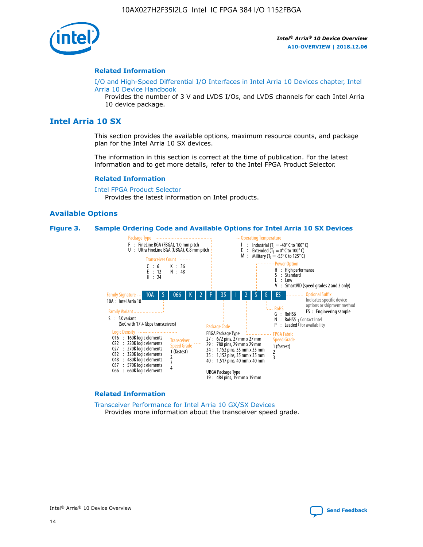

#### **Related Information**

[I/O and High-Speed Differential I/O Interfaces in Intel Arria 10 Devices chapter, Intel](https://www.intel.com/content/www/us/en/programmable/documentation/sam1403482614086.html#sam1403482030321) [Arria 10 Device Handbook](https://www.intel.com/content/www/us/en/programmable/documentation/sam1403482614086.html#sam1403482030321)

Provides the number of 3 V and LVDS I/Os, and LVDS channels for each Intel Arria 10 device package.

# **Intel Arria 10 SX**

This section provides the available options, maximum resource counts, and package plan for the Intel Arria 10 SX devices.

The information in this section is correct at the time of publication. For the latest information and to get more details, refer to the Intel FPGA Product Selector.

#### **Related Information**

[Intel FPGA Product Selector](http://www.altera.com/products/selector/psg-selector.html) Provides the latest information on Intel products.

#### **Available Options**

#### **Figure 3. Sample Ordering Code and Available Options for Intel Arria 10 SX Devices**



#### **Related Information**

[Transceiver Performance for Intel Arria 10 GX/SX Devices](https://www.intel.com/content/www/us/en/programmable/documentation/mcn1413182292568.html#mcn1413213965502) Provides more information about the transceiver speed grade.

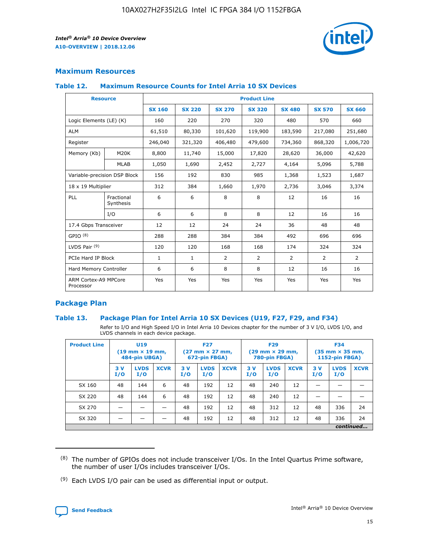

# **Maximum Resources**

#### **Table 12. Maximum Resource Counts for Intel Arria 10 SX Devices**

|                                   | <b>Resource</b>         | <b>Product Line</b> |               |                |                |               |                |                |  |  |  |
|-----------------------------------|-------------------------|---------------------|---------------|----------------|----------------|---------------|----------------|----------------|--|--|--|
|                                   |                         | <b>SX 160</b>       | <b>SX 220</b> | <b>SX 270</b>  | <b>SX 320</b>  | <b>SX 480</b> | <b>SX 570</b>  | <b>SX 660</b>  |  |  |  |
| Logic Elements (LE) (K)           |                         | 160                 | 220           | 270            | 320            | 480           | 570            | 660            |  |  |  |
| <b>ALM</b>                        |                         | 61,510              | 80,330        | 101,620        | 119,900        | 183,590       | 217,080        | 251,680        |  |  |  |
| Register                          |                         | 246,040             | 321,320       | 406,480        | 479,600        | 734,360       | 868,320        | 1,006,720      |  |  |  |
| Memory (Kb)                       | <b>M20K</b>             | 8,800               | 11,740        | 15,000         | 17,820         | 28,620        | 36,000         | 42,620         |  |  |  |
|                                   | MLAB                    | 1,050               | 1,690         | 2,452          | 2,727          | 4,164         | 5,096          | 5,788          |  |  |  |
| Variable-precision DSP Block      |                         | 156                 | 192           | 830            | 985            | 1,368         | 1,523          | 1,687          |  |  |  |
| 18 x 19 Multiplier                |                         | 312                 | 384           | 1,660          | 1,970          | 2,736         | 3,046          | 3,374          |  |  |  |
| <b>PLL</b>                        | Fractional<br>Synthesis | 6                   | 6             | 8              | 8              | 12            | 16             | 16             |  |  |  |
|                                   | I/O                     | 6                   | 6             | 8              | 8              | 12            | 16             | 16             |  |  |  |
| 17.4 Gbps Transceiver             |                         | 12                  | 12            | 24             | 24             | 36            | 48             | 48             |  |  |  |
| GPIO <sup>(8)</sup>               |                         | 288                 | 288           | 384            | 384            | 492           | 696            | 696            |  |  |  |
| LVDS Pair $(9)$                   |                         | 120                 | 120           | 168            | 168            | 174           | 324            | 324            |  |  |  |
| PCIe Hard IP Block                |                         | $\mathbf{1}$        | 1             | $\overline{2}$ | $\overline{2}$ | 2             | $\overline{2}$ | $\overline{2}$ |  |  |  |
| Hard Memory Controller            |                         | 6                   | 6             | 8              | 8              | 12            | 16             | 16             |  |  |  |
| ARM Cortex-A9 MPCore<br>Processor |                         | Yes                 | Yes           | Yes            | Yes            | Yes           | Yes            | Yes            |  |  |  |

# **Package Plan**

#### **Table 13. Package Plan for Intel Arria 10 SX Devices (U19, F27, F29, and F34)**

Refer to I/O and High Speed I/O in Intel Arria 10 Devices chapter for the number of 3 V I/O, LVDS I/O, and LVDS channels in each device package.

| <b>Product Line</b> | U19<br>$(19 \text{ mm} \times 19 \text{ mm})$<br>484-pin UBGA) |                    |             | <b>F27</b><br>$(27 \text{ mm} \times 27 \text{ mm})$<br>672-pin FBGA) |                    | <b>F29</b><br>$(29 \text{ mm} \times 29 \text{ mm})$<br>780-pin FBGA) |           |                    | <b>F34</b><br>$(35 \text{ mm} \times 35 \text{ mm})$<br><b>1152-pin FBGA)</b> |           |                    |             |
|---------------------|----------------------------------------------------------------|--------------------|-------------|-----------------------------------------------------------------------|--------------------|-----------------------------------------------------------------------|-----------|--------------------|-------------------------------------------------------------------------------|-----------|--------------------|-------------|
|                     | 3V<br>I/O                                                      | <b>LVDS</b><br>I/O | <b>XCVR</b> | 3V<br>I/O                                                             | <b>LVDS</b><br>I/O | <b>XCVR</b>                                                           | 3V<br>I/O | <b>LVDS</b><br>I/O | <b>XCVR</b>                                                                   | 3V<br>I/O | <b>LVDS</b><br>I/O | <b>XCVR</b> |
| SX 160              | 48                                                             | 144                | 6           | 48                                                                    | 192                | 12                                                                    | 48        | 240                | 12                                                                            |           |                    |             |
| SX 220              | 48                                                             | 144                | 6           | 48                                                                    | 192                | 12                                                                    | 48        | 240                | 12                                                                            |           |                    |             |
| SX 270              |                                                                |                    |             | 48                                                                    | 192                | 12                                                                    | 48        | 312                | 12                                                                            | 48        | 336                | 24          |
| SX 320              |                                                                |                    |             | 48                                                                    | 192                | 12                                                                    | 48        | 312                | 12                                                                            | 48        | 336                | 24          |
|                     | continued                                                      |                    |             |                                                                       |                    |                                                                       |           |                    |                                                                               |           |                    |             |

 $(8)$  The number of GPIOs does not include transceiver I/Os. In the Intel Quartus Prime software, the number of user I/Os includes transceiver I/Os.

 $(9)$  Each LVDS I/O pair can be used as differential input or output.

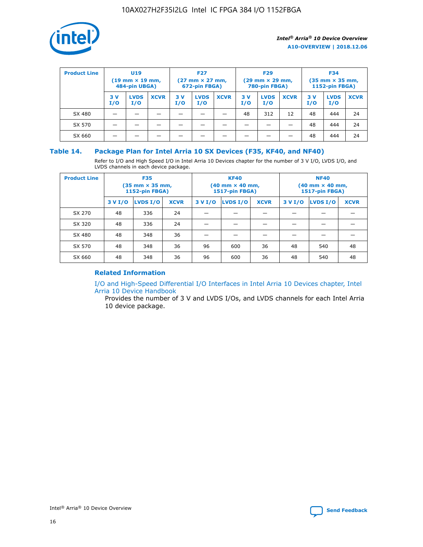

| <b>Product Line</b> | U <sub>19</sub><br>$(19 \text{ mm} \times 19 \text{ mm})$<br>484-pin UBGA) |                    | <b>F27</b><br>$(27 \text{ mm} \times 27 \text{ mm})$<br>672-pin FBGA) |           | <b>F29</b><br>$(29 \text{ mm} \times 29 \text{ mm})$<br>780-pin FBGA) |             |           | <b>F34</b><br>$(35$ mm $\times$ 35 mm,<br><b>1152-pin FBGA)</b> |             |           |                    |             |
|---------------------|----------------------------------------------------------------------------|--------------------|-----------------------------------------------------------------------|-----------|-----------------------------------------------------------------------|-------------|-----------|-----------------------------------------------------------------|-------------|-----------|--------------------|-------------|
|                     | 3V<br>I/O                                                                  | <b>LVDS</b><br>I/O | <b>XCVR</b>                                                           | 3V<br>I/O | <b>LVDS</b><br>I/O                                                    | <b>XCVR</b> | 3V<br>I/O | <b>LVDS</b><br>I/O                                              | <b>XCVR</b> | 3V<br>I/O | <b>LVDS</b><br>I/O | <b>XCVR</b> |
| SX 480              |                                                                            |                    |                                                                       |           |                                                                       |             | 48        | 312                                                             | 12          | 48        | 444                | 24          |
| SX 570              |                                                                            |                    |                                                                       |           |                                                                       |             |           |                                                                 |             | 48        | 444                | 24          |
| SX 660              |                                                                            |                    |                                                                       |           |                                                                       |             |           |                                                                 |             | 48        | 444                | 24          |

## **Table 14. Package Plan for Intel Arria 10 SX Devices (F35, KF40, and NF40)**

Refer to I/O and High Speed I/O in Intel Arria 10 Devices chapter for the number of 3 V I/O, LVDS I/O, and LVDS channels in each device package.

| <b>Product Line</b> | <b>F35</b><br>(35 mm × 35 mm,<br><b>1152-pin FBGA)</b> |          |             |                                           | <b>KF40</b><br>(40 mm × 40 mm,<br>1517-pin FBGA) |    | <b>NF40</b><br>$(40 \text{ mm} \times 40 \text{ mm})$<br>1517-pin FBGA) |          |             |  |
|---------------------|--------------------------------------------------------|----------|-------------|-------------------------------------------|--------------------------------------------------|----|-------------------------------------------------------------------------|----------|-------------|--|
|                     | 3 V I/O                                                | LVDS I/O | <b>XCVR</b> | <b>LVDS I/O</b><br>3 V I/O<br><b>XCVR</b> |                                                  |    | 3 V I/O                                                                 | LVDS I/O | <b>XCVR</b> |  |
| SX 270              | 48                                                     | 336      | 24          |                                           |                                                  |    |                                                                         |          |             |  |
| SX 320              | 48                                                     | 336      | 24          |                                           |                                                  |    |                                                                         |          |             |  |
| SX 480              | 48                                                     | 348      | 36          |                                           |                                                  |    |                                                                         |          |             |  |
| SX 570              | 48                                                     | 348      | 36          | 96                                        | 600                                              | 36 | 48                                                                      | 540      | 48          |  |
| SX 660              | 48                                                     | 348      | 36          | 96                                        | 600                                              | 36 | 48                                                                      | 540      | 48          |  |

# **Related Information**

[I/O and High-Speed Differential I/O Interfaces in Intel Arria 10 Devices chapter, Intel](https://www.intel.com/content/www/us/en/programmable/documentation/sam1403482614086.html#sam1403482030321) [Arria 10 Device Handbook](https://www.intel.com/content/www/us/en/programmable/documentation/sam1403482614086.html#sam1403482030321)

Provides the number of 3 V and LVDS I/Os, and LVDS channels for each Intel Arria 10 device package.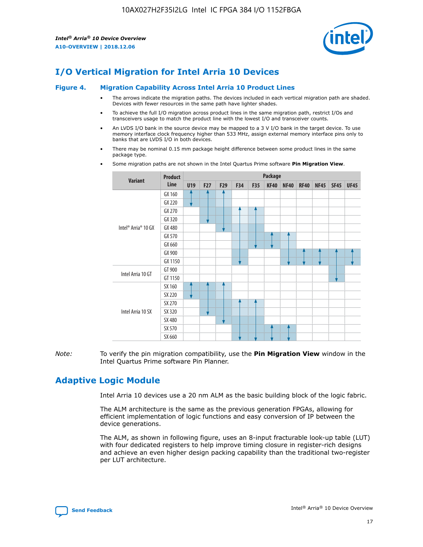

# **I/O Vertical Migration for Intel Arria 10 Devices**

#### **Figure 4. Migration Capability Across Intel Arria 10 Product Lines**

- The arrows indicate the migration paths. The devices included in each vertical migration path are shaded. Devices with fewer resources in the same path have lighter shades.
- To achieve the full I/O migration across product lines in the same migration path, restrict I/Os and transceivers usage to match the product line with the lowest I/O and transceiver counts.
- An LVDS I/O bank in the source device may be mapped to a 3 V I/O bank in the target device. To use memory interface clock frequency higher than 533 MHz, assign external memory interface pins only to banks that are LVDS I/O in both devices.
- There may be nominal 0.15 mm package height difference between some product lines in the same package type.
	- **Variant Product Line Package U19 F27 F29 F34 F35 KF40 NF40 RF40 NF45 SF45 UF45** Intel® Arria® 10 GX GX 160 GX 220 GX 270 GX 320 GX 480 GX 570 GX 660 GX 900 GX 1150 Intel Arria 10 GT GT 900 GT 1150 Intel Arria 10 SX SX 160 SX 220 SX 270 SX 320 SX 480 SX 570 SX 660
- Some migration paths are not shown in the Intel Quartus Prime software **Pin Migration View**.

*Note:* To verify the pin migration compatibility, use the **Pin Migration View** window in the Intel Quartus Prime software Pin Planner.

# **Adaptive Logic Module**

Intel Arria 10 devices use a 20 nm ALM as the basic building block of the logic fabric.

The ALM architecture is the same as the previous generation FPGAs, allowing for efficient implementation of logic functions and easy conversion of IP between the device generations.

The ALM, as shown in following figure, uses an 8-input fracturable look-up table (LUT) with four dedicated registers to help improve timing closure in register-rich designs and achieve an even higher design packing capability than the traditional two-register per LUT architecture.

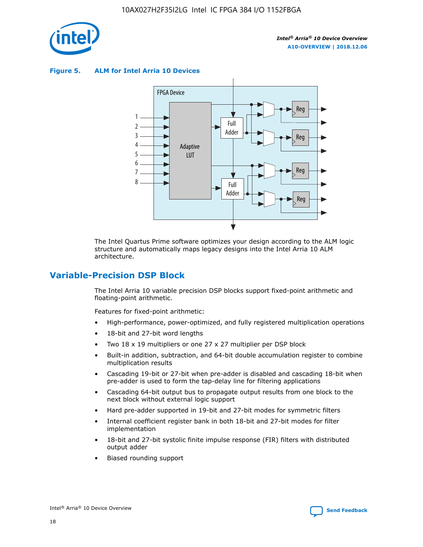

**Figure 5. ALM for Intel Arria 10 Devices**



The Intel Quartus Prime software optimizes your design according to the ALM logic structure and automatically maps legacy designs into the Intel Arria 10 ALM architecture.

# **Variable-Precision DSP Block**

The Intel Arria 10 variable precision DSP blocks support fixed-point arithmetic and floating-point arithmetic.

Features for fixed-point arithmetic:

- High-performance, power-optimized, and fully registered multiplication operations
- 18-bit and 27-bit word lengths
- Two 18 x 19 multipliers or one 27 x 27 multiplier per DSP block
- Built-in addition, subtraction, and 64-bit double accumulation register to combine multiplication results
- Cascading 19-bit or 27-bit when pre-adder is disabled and cascading 18-bit when pre-adder is used to form the tap-delay line for filtering applications
- Cascading 64-bit output bus to propagate output results from one block to the next block without external logic support
- Hard pre-adder supported in 19-bit and 27-bit modes for symmetric filters
- Internal coefficient register bank in both 18-bit and 27-bit modes for filter implementation
- 18-bit and 27-bit systolic finite impulse response (FIR) filters with distributed output adder
- Biased rounding support

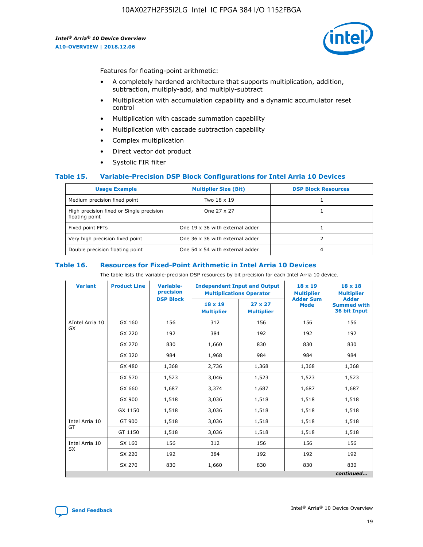

Features for floating-point arithmetic:

- A completely hardened architecture that supports multiplication, addition, subtraction, multiply-add, and multiply-subtract
- Multiplication with accumulation capability and a dynamic accumulator reset control
- Multiplication with cascade summation capability
- Multiplication with cascade subtraction capability
- Complex multiplication
- Direct vector dot product
- Systolic FIR filter

#### **Table 15. Variable-Precision DSP Block Configurations for Intel Arria 10 Devices**

| <b>Usage Example</b>                                       | <b>Multiplier Size (Bit)</b>    | <b>DSP Block Resources</b> |
|------------------------------------------------------------|---------------------------------|----------------------------|
| Medium precision fixed point                               | Two 18 x 19                     |                            |
| High precision fixed or Single precision<br>floating point | One 27 x 27                     |                            |
| Fixed point FFTs                                           | One 19 x 36 with external adder |                            |
| Very high precision fixed point                            | One 36 x 36 with external adder |                            |
| Double precision floating point                            | One 54 x 54 with external adder | 4                          |

#### **Table 16. Resources for Fixed-Point Arithmetic in Intel Arria 10 Devices**

The table lists the variable-precision DSP resources by bit precision for each Intel Arria 10 device.

| <b>Variant</b>  | <b>Product Line</b> | Variable-<br>precision<br><b>DSP Block</b> | <b>Independent Input and Output</b><br><b>Multiplications Operator</b> |                                     | 18 x 19<br><b>Multiplier</b><br><b>Adder Sum</b> | $18 \times 18$<br><b>Multiplier</b><br><b>Adder</b> |
|-----------------|---------------------|--------------------------------------------|------------------------------------------------------------------------|-------------------------------------|--------------------------------------------------|-----------------------------------------------------|
|                 |                     |                                            | 18 x 19<br><b>Multiplier</b>                                           | $27 \times 27$<br><b>Multiplier</b> | <b>Mode</b>                                      | <b>Summed with</b><br>36 bit Input                  |
| AIntel Arria 10 | GX 160              | 156                                        | 312                                                                    | 156                                 | 156                                              | 156                                                 |
| GX              | GX 220              | 192                                        | 384                                                                    | 192                                 | 192                                              | 192                                                 |
|                 | GX 270              | 830                                        | 1,660                                                                  | 830                                 | 830                                              | 830                                                 |
|                 | GX 320              | 984                                        | 1,968                                                                  | 984                                 | 984                                              | 984                                                 |
|                 | GX 480              | 1,368                                      | 2,736                                                                  | 1,368                               | 1,368                                            | 1,368                                               |
|                 | GX 570              | 1,523                                      | 3,046                                                                  | 1,523                               | 1,523                                            | 1,523                                               |
|                 | GX 660              | 1,687                                      | 3,374                                                                  | 1,687                               | 1,687                                            | 1,687                                               |
|                 | GX 900              | 1,518                                      | 3,036                                                                  | 1,518                               | 1,518                                            | 1,518                                               |
|                 | GX 1150             | 1,518                                      | 3,036                                                                  | 1,518                               | 1,518                                            | 1,518                                               |
| Intel Arria 10  | GT 900              | 1,518                                      | 3,036                                                                  | 1,518                               | 1,518                                            | 1,518                                               |
| GT              | GT 1150             | 1,518                                      | 3,036                                                                  | 1,518                               | 1,518                                            | 1,518                                               |
| Intel Arria 10  | SX 160              | 156                                        | 312                                                                    | 156                                 | 156                                              | 156                                                 |
| <b>SX</b>       | SX 220<br>192       |                                            | 384                                                                    | 192                                 | 192                                              | 192                                                 |
|                 | SX 270              | 830                                        | 1,660                                                                  | 830                                 | 830                                              | 830                                                 |
|                 |                     |                                            |                                                                        |                                     |                                                  | continued                                           |

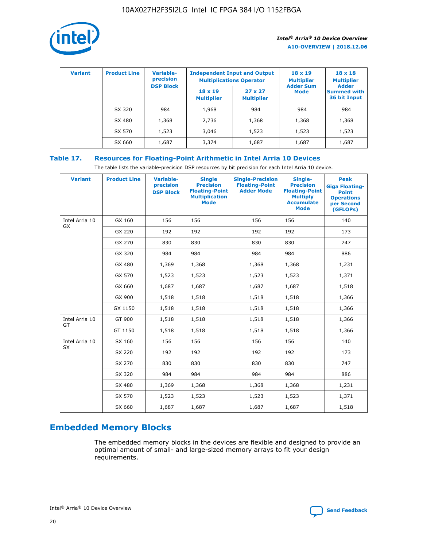

| <b>Variant</b> | <b>Product Line</b> | <b>Variable-</b><br>precision |                                     | <b>Independent Input and Output</b><br><b>Multiplications Operator</b> | $18 \times 19$<br><b>Multiplier</b> | $18 \times 18$<br><b>Multiplier</b><br><b>Adder</b> |  |
|----------------|---------------------|-------------------------------|-------------------------------------|------------------------------------------------------------------------|-------------------------------------|-----------------------------------------------------|--|
|                |                     | <b>DSP Block</b>              | $18 \times 19$<br><b>Multiplier</b> | $27 \times 27$<br><b>Multiplier</b>                                    | <b>Adder Sum</b><br><b>Mode</b>     | <b>Summed with</b><br>36 bit Input                  |  |
|                | SX 320              | 984                           | 1,968                               | 984                                                                    | 984                                 | 984                                                 |  |
|                | SX 480              | 1,368                         | 2,736                               | 1,368                                                                  | 1,368                               | 1,368                                               |  |
|                | SX 570              | 1,523                         | 3,046                               | 1,523                                                                  | 1,523                               | 1,523                                               |  |
|                | SX 660              | 1,687                         | 3,374                               | 1,687                                                                  | 1,687                               | 1,687                                               |  |

# **Table 17. Resources for Floating-Point Arithmetic in Intel Arria 10 Devices**

The table lists the variable-precision DSP resources by bit precision for each Intel Arria 10 device.

| <b>Variant</b> | <b>Product Line</b> | <b>Variable-</b><br>precision<br><b>DSP Block</b> | <b>Single</b><br><b>Precision</b><br><b>Floating-Point</b><br><b>Multiplication</b><br><b>Mode</b> | <b>Single-Precision</b><br><b>Floating-Point</b><br><b>Adder Mode</b> | Single-<br><b>Precision</b><br><b>Floating-Point</b><br><b>Multiply</b><br><b>Accumulate</b><br><b>Mode</b> | <b>Peak</b><br><b>Giga Floating-</b><br><b>Point</b><br><b>Operations</b><br>per Second<br>(GFLOPs) |
|----------------|---------------------|---------------------------------------------------|----------------------------------------------------------------------------------------------------|-----------------------------------------------------------------------|-------------------------------------------------------------------------------------------------------------|-----------------------------------------------------------------------------------------------------|
| Intel Arria 10 | GX 160              | 156                                               | 156                                                                                                | 156                                                                   | 156                                                                                                         | 140                                                                                                 |
| GX             | GX 220              | 192                                               | 192                                                                                                | 192                                                                   | 192                                                                                                         | 173                                                                                                 |
|                | GX 270              | 830                                               | 830                                                                                                | 830                                                                   | 830                                                                                                         | 747                                                                                                 |
|                | GX 320              | 984                                               | 984                                                                                                | 984                                                                   | 984                                                                                                         | 886                                                                                                 |
|                | GX 480              | 1,369                                             | 1,368                                                                                              | 1,368                                                                 | 1,368                                                                                                       | 1,231                                                                                               |
|                | GX 570              | 1,523                                             | 1,523                                                                                              | 1,523                                                                 | 1,523                                                                                                       | 1,371                                                                                               |
|                | GX 660              | 1,687                                             | 1,687                                                                                              | 1,687                                                                 | 1,687                                                                                                       | 1,518                                                                                               |
|                | GX 900              | 1,518                                             | 1,518                                                                                              | 1,518                                                                 | 1,518                                                                                                       | 1,366                                                                                               |
|                | GX 1150             | 1,518                                             | 1,518                                                                                              | 1,518                                                                 | 1,518                                                                                                       | 1,366                                                                                               |
| Intel Arria 10 | GT 900              | 1,518                                             | 1,518                                                                                              | 1,518                                                                 | 1,518                                                                                                       | 1,366                                                                                               |
| GT             | GT 1150             | 1,518                                             | 1,518                                                                                              | 1,518                                                                 | 1,518                                                                                                       | 1,366                                                                                               |
| Intel Arria 10 | SX 160              | 156                                               | 156                                                                                                | 156                                                                   | 156                                                                                                         | 140                                                                                                 |
| <b>SX</b>      | SX 220              | 192                                               | 192                                                                                                | 192                                                                   | 192                                                                                                         | 173                                                                                                 |
|                | SX 270              | 830                                               | 830                                                                                                | 830                                                                   | 830                                                                                                         | 747                                                                                                 |
|                | SX 320              | 984                                               | 984                                                                                                | 984                                                                   | 984                                                                                                         | 886                                                                                                 |
|                | SX 480              | 1,369                                             | 1,368                                                                                              | 1,368                                                                 | 1,368                                                                                                       | 1,231                                                                                               |
|                | SX 570              | 1,523                                             | 1,523                                                                                              | 1,523                                                                 | 1,523                                                                                                       | 1,371                                                                                               |
|                | SX 660              | 1,687                                             | 1,687                                                                                              | 1,687                                                                 | 1,687                                                                                                       | 1,518                                                                                               |

# **Embedded Memory Blocks**

The embedded memory blocks in the devices are flexible and designed to provide an optimal amount of small- and large-sized memory arrays to fit your design requirements.

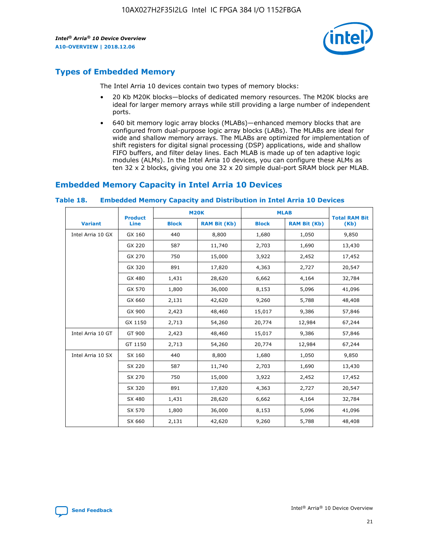

# **Types of Embedded Memory**

The Intel Arria 10 devices contain two types of memory blocks:

- 20 Kb M20K blocks—blocks of dedicated memory resources. The M20K blocks are ideal for larger memory arrays while still providing a large number of independent ports.
- 640 bit memory logic array blocks (MLABs)—enhanced memory blocks that are configured from dual-purpose logic array blocks (LABs). The MLABs are ideal for wide and shallow memory arrays. The MLABs are optimized for implementation of shift registers for digital signal processing (DSP) applications, wide and shallow FIFO buffers, and filter delay lines. Each MLAB is made up of ten adaptive logic modules (ALMs). In the Intel Arria 10 devices, you can configure these ALMs as ten 32 x 2 blocks, giving you one 32 x 20 simple dual-port SRAM block per MLAB.

# **Embedded Memory Capacity in Intel Arria 10 Devices**

|                   | <b>Product</b> | <b>M20K</b>  |                     | <b>MLAB</b>  |                     | <b>Total RAM Bit</b> |
|-------------------|----------------|--------------|---------------------|--------------|---------------------|----------------------|
| <b>Variant</b>    | <b>Line</b>    | <b>Block</b> | <b>RAM Bit (Kb)</b> | <b>Block</b> | <b>RAM Bit (Kb)</b> | (Kb)                 |
| Intel Arria 10 GX | GX 160         | 440          | 8,800               | 1,680        | 1,050               | 9,850                |
|                   | GX 220         | 587          | 11,740              | 2,703        | 1,690               | 13,430               |
|                   | GX 270         | 750          | 15,000              | 3,922        | 2,452               | 17,452               |
|                   | GX 320         | 891          | 17,820              | 4,363        | 2,727               | 20,547               |
|                   | GX 480         | 1,431        | 28,620              | 6,662        | 4,164               | 32,784               |
|                   | GX 570         | 1,800        | 36,000              | 8,153        | 5,096               | 41,096               |
|                   | GX 660         | 2,131        | 42,620              | 9,260        | 5,788               | 48,408               |
|                   | GX 900         | 2,423        | 48,460              | 15,017       | 9,386               | 57,846               |
|                   | GX 1150        | 2,713        | 54,260              | 20,774       | 12,984              | 67,244               |
| Intel Arria 10 GT | GT 900         | 2,423        | 48,460              | 15,017       | 9,386               | 57,846               |
|                   | GT 1150        | 2,713        | 54,260              | 20,774       | 12,984              | 67,244               |
| Intel Arria 10 SX | SX 160         | 440          | 8,800               | 1,680        | 1,050               | 9,850                |
|                   | SX 220         | 587          | 11,740              | 2,703        | 1,690               | 13,430               |
|                   | SX 270         | 750          | 15,000              | 3,922        | 2,452               | 17,452               |
|                   | SX 320         | 891          | 17,820              | 4,363        | 2,727               | 20,547               |
|                   | SX 480         | 1,431        | 28,620              | 6,662        | 4,164               | 32,784               |
|                   | SX 570         | 1,800        | 36,000              | 8,153        | 5,096               | 41,096               |
|                   | SX 660         | 2,131        | 42,620              | 9,260        | 5,788               | 48,408               |

#### **Table 18. Embedded Memory Capacity and Distribution in Intel Arria 10 Devices**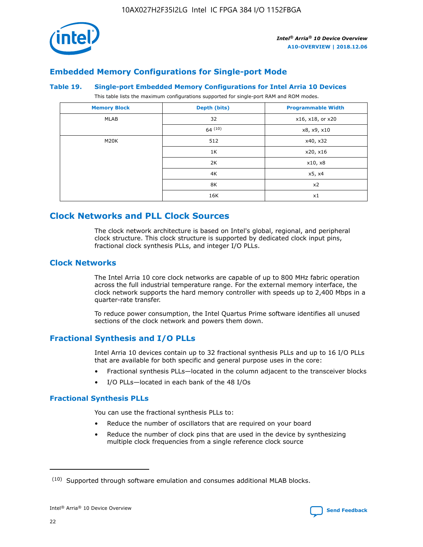

# **Embedded Memory Configurations for Single-port Mode**

#### **Table 19. Single-port Embedded Memory Configurations for Intel Arria 10 Devices**

This table lists the maximum configurations supported for single-port RAM and ROM modes.

| <b>Memory Block</b> | Depth (bits) | <b>Programmable Width</b> |
|---------------------|--------------|---------------------------|
| MLAB                | 32           | x16, x18, or x20          |
|                     | 64(10)       | x8, x9, x10               |
| M20K                | 512          | x40, x32                  |
|                     | 1K           | x20, x16                  |
|                     | 2K           | x10, x8                   |
|                     | 4K           | x5, x4                    |
|                     | 8K           | x2                        |
|                     | 16K          | x1                        |

# **Clock Networks and PLL Clock Sources**

The clock network architecture is based on Intel's global, regional, and peripheral clock structure. This clock structure is supported by dedicated clock input pins, fractional clock synthesis PLLs, and integer I/O PLLs.

# **Clock Networks**

The Intel Arria 10 core clock networks are capable of up to 800 MHz fabric operation across the full industrial temperature range. For the external memory interface, the clock network supports the hard memory controller with speeds up to 2,400 Mbps in a quarter-rate transfer.

To reduce power consumption, the Intel Quartus Prime software identifies all unused sections of the clock network and powers them down.

# **Fractional Synthesis and I/O PLLs**

Intel Arria 10 devices contain up to 32 fractional synthesis PLLs and up to 16 I/O PLLs that are available for both specific and general purpose uses in the core:

- Fractional synthesis PLLs—located in the column adjacent to the transceiver blocks
- I/O PLLs—located in each bank of the 48 I/Os

# **Fractional Synthesis PLLs**

You can use the fractional synthesis PLLs to:

- Reduce the number of oscillators that are required on your board
- Reduce the number of clock pins that are used in the device by synthesizing multiple clock frequencies from a single reference clock source

<sup>(10)</sup> Supported through software emulation and consumes additional MLAB blocks.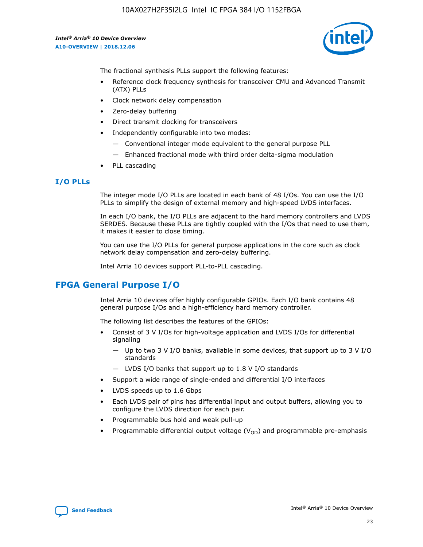

The fractional synthesis PLLs support the following features:

- Reference clock frequency synthesis for transceiver CMU and Advanced Transmit (ATX) PLLs
- Clock network delay compensation
- Zero-delay buffering
- Direct transmit clocking for transceivers
- Independently configurable into two modes:
	- Conventional integer mode equivalent to the general purpose PLL
	- Enhanced fractional mode with third order delta-sigma modulation
- PLL cascading

## **I/O PLLs**

The integer mode I/O PLLs are located in each bank of 48 I/Os. You can use the I/O PLLs to simplify the design of external memory and high-speed LVDS interfaces.

In each I/O bank, the I/O PLLs are adjacent to the hard memory controllers and LVDS SERDES. Because these PLLs are tightly coupled with the I/Os that need to use them, it makes it easier to close timing.

You can use the I/O PLLs for general purpose applications in the core such as clock network delay compensation and zero-delay buffering.

Intel Arria 10 devices support PLL-to-PLL cascading.

# **FPGA General Purpose I/O**

Intel Arria 10 devices offer highly configurable GPIOs. Each I/O bank contains 48 general purpose I/Os and a high-efficiency hard memory controller.

The following list describes the features of the GPIOs:

- Consist of 3 V I/Os for high-voltage application and LVDS I/Os for differential signaling
	- Up to two 3 V I/O banks, available in some devices, that support up to 3 V I/O standards
	- LVDS I/O banks that support up to 1.8 V I/O standards
- Support a wide range of single-ended and differential I/O interfaces
- LVDS speeds up to 1.6 Gbps
- Each LVDS pair of pins has differential input and output buffers, allowing you to configure the LVDS direction for each pair.
- Programmable bus hold and weak pull-up
- Programmable differential output voltage  $(V_{OD})$  and programmable pre-emphasis

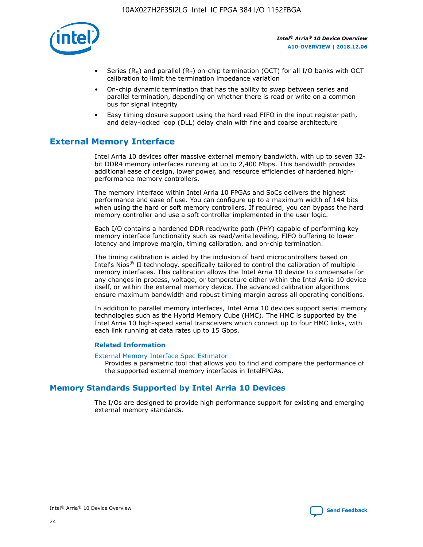

- Series (R<sub>S</sub>) and parallel (R<sub>T</sub>) on-chip termination (OCT) for all I/O banks with OCT calibration to limit the termination impedance variation
- On-chip dynamic termination that has the ability to swap between series and parallel termination, depending on whether there is read or write on a common bus for signal integrity
- Easy timing closure support using the hard read FIFO in the input register path, and delay-locked loop (DLL) delay chain with fine and coarse architecture

# **External Memory Interface**

Intel Arria 10 devices offer massive external memory bandwidth, with up to seven 32 bit DDR4 memory interfaces running at up to 2,400 Mbps. This bandwidth provides additional ease of design, lower power, and resource efficiencies of hardened highperformance memory controllers.

The memory interface within Intel Arria 10 FPGAs and SoCs delivers the highest performance and ease of use. You can configure up to a maximum width of 144 bits when using the hard or soft memory controllers. If required, you can bypass the hard memory controller and use a soft controller implemented in the user logic.

Each I/O contains a hardened DDR read/write path (PHY) capable of performing key memory interface functionality such as read/write leveling, FIFO buffering to lower latency and improve margin, timing calibration, and on-chip termination.

The timing calibration is aided by the inclusion of hard microcontrollers based on Intel's Nios® II technology, specifically tailored to control the calibration of multiple memory interfaces. This calibration allows the Intel Arria 10 device to compensate for any changes in process, voltage, or temperature either within the Intel Arria 10 device itself, or within the external memory device. The advanced calibration algorithms ensure maximum bandwidth and robust timing margin across all operating conditions.

In addition to parallel memory interfaces, Intel Arria 10 devices support serial memory technologies such as the Hybrid Memory Cube (HMC). The HMC is supported by the Intel Arria 10 high-speed serial transceivers which connect up to four HMC links, with each link running at data rates up to 15 Gbps.

#### **Related Information**

#### [External Memory Interface Spec Estimator](http://www.altera.com/technology/memory/estimator/mem-emif-index.html)

Provides a parametric tool that allows you to find and compare the performance of the supported external memory interfaces in IntelFPGAs.

# **Memory Standards Supported by Intel Arria 10 Devices**

The I/Os are designed to provide high performance support for existing and emerging external memory standards.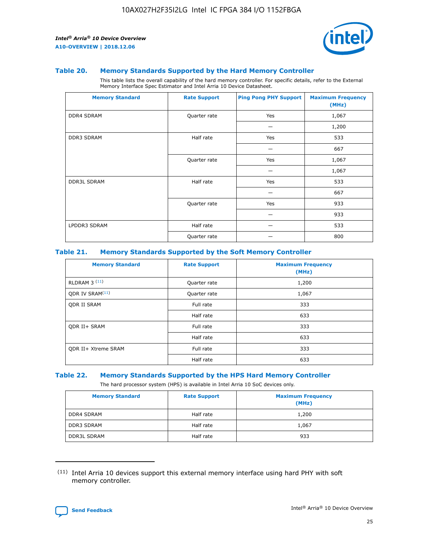

#### **Table 20. Memory Standards Supported by the Hard Memory Controller**

This table lists the overall capability of the hard memory controller. For specific details, refer to the External Memory Interface Spec Estimator and Intel Arria 10 Device Datasheet.

| <b>Memory Standard</b> | <b>Rate Support</b> | <b>Ping Pong PHY Support</b> | <b>Maximum Frequency</b><br>(MHz) |
|------------------------|---------------------|------------------------------|-----------------------------------|
| <b>DDR4 SDRAM</b>      | Quarter rate        | Yes                          | 1,067                             |
|                        |                     |                              | 1,200                             |
| <b>DDR3 SDRAM</b>      | Half rate           | Yes                          | 533                               |
|                        |                     |                              | 667                               |
|                        | Quarter rate        | Yes                          | 1,067                             |
|                        |                     |                              | 1,067                             |
| <b>DDR3L SDRAM</b>     | Half rate           | Yes                          | 533                               |
|                        |                     |                              | 667                               |
|                        | Quarter rate        | Yes                          | 933                               |
|                        |                     |                              | 933                               |
| LPDDR3 SDRAM           | Half rate           |                              | 533                               |
|                        | Quarter rate        |                              | 800                               |

#### **Table 21. Memory Standards Supported by the Soft Memory Controller**

| <b>Memory Standard</b>      | <b>Rate Support</b> | <b>Maximum Frequency</b><br>(MHz) |
|-----------------------------|---------------------|-----------------------------------|
| <b>RLDRAM 3 (11)</b>        | Quarter rate        | 1,200                             |
| ODR IV SRAM <sup>(11)</sup> | Quarter rate        | 1,067                             |
| <b>ODR II SRAM</b>          | Full rate           | 333                               |
|                             | Half rate           | 633                               |
| <b>ODR II+ SRAM</b>         | Full rate           | 333                               |
|                             | Half rate           | 633                               |
| <b>ODR II+ Xtreme SRAM</b>  | Full rate           | 333                               |
|                             | Half rate           | 633                               |

#### **Table 22. Memory Standards Supported by the HPS Hard Memory Controller**

The hard processor system (HPS) is available in Intel Arria 10 SoC devices only.

| <b>Memory Standard</b> | <b>Rate Support</b> | <b>Maximum Frequency</b><br>(MHz) |
|------------------------|---------------------|-----------------------------------|
| <b>DDR4 SDRAM</b>      | Half rate           | 1,200                             |
| <b>DDR3 SDRAM</b>      | Half rate           | 1,067                             |
| <b>DDR3L SDRAM</b>     | Half rate           | 933                               |

<sup>(11)</sup> Intel Arria 10 devices support this external memory interface using hard PHY with soft memory controller.

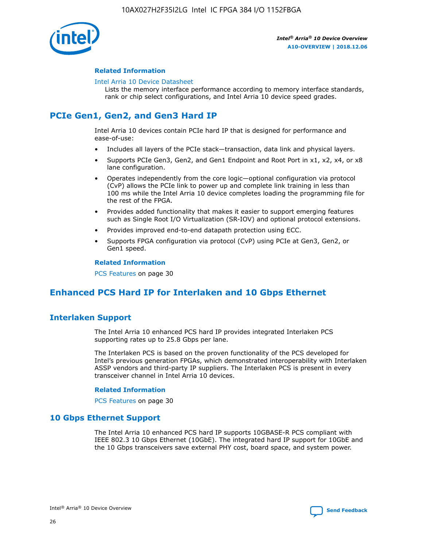

#### **Related Information**

#### [Intel Arria 10 Device Datasheet](https://www.intel.com/content/www/us/en/programmable/documentation/mcn1413182292568.html#mcn1413182153340)

Lists the memory interface performance according to memory interface standards, rank or chip select configurations, and Intel Arria 10 device speed grades.

# **PCIe Gen1, Gen2, and Gen3 Hard IP**

Intel Arria 10 devices contain PCIe hard IP that is designed for performance and ease-of-use:

- Includes all layers of the PCIe stack—transaction, data link and physical layers.
- Supports PCIe Gen3, Gen2, and Gen1 Endpoint and Root Port in x1, x2, x4, or x8 lane configuration.
- Operates independently from the core logic—optional configuration via protocol (CvP) allows the PCIe link to power up and complete link training in less than 100 ms while the Intel Arria 10 device completes loading the programming file for the rest of the FPGA.
- Provides added functionality that makes it easier to support emerging features such as Single Root I/O Virtualization (SR-IOV) and optional protocol extensions.
- Provides improved end-to-end datapath protection using ECC.
- Supports FPGA configuration via protocol (CvP) using PCIe at Gen3, Gen2, or Gen1 speed.

#### **Related Information**

PCS Features on page 30

# **Enhanced PCS Hard IP for Interlaken and 10 Gbps Ethernet**

# **Interlaken Support**

The Intel Arria 10 enhanced PCS hard IP provides integrated Interlaken PCS supporting rates up to 25.8 Gbps per lane.

The Interlaken PCS is based on the proven functionality of the PCS developed for Intel's previous generation FPGAs, which demonstrated interoperability with Interlaken ASSP vendors and third-party IP suppliers. The Interlaken PCS is present in every transceiver channel in Intel Arria 10 devices.

#### **Related Information**

PCS Features on page 30

# **10 Gbps Ethernet Support**

The Intel Arria 10 enhanced PCS hard IP supports 10GBASE-R PCS compliant with IEEE 802.3 10 Gbps Ethernet (10GbE). The integrated hard IP support for 10GbE and the 10 Gbps transceivers save external PHY cost, board space, and system power.

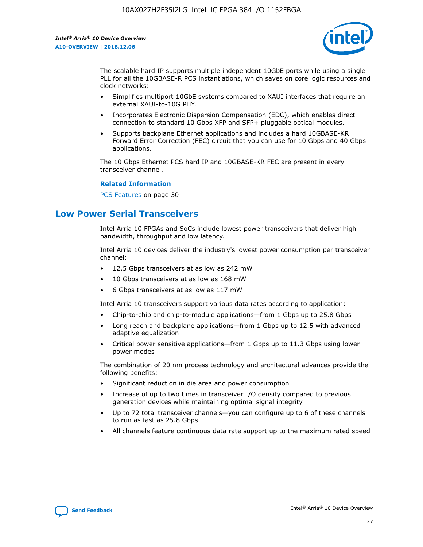

The scalable hard IP supports multiple independent 10GbE ports while using a single PLL for all the 10GBASE-R PCS instantiations, which saves on core logic resources and clock networks:

- Simplifies multiport 10GbE systems compared to XAUI interfaces that require an external XAUI-to-10G PHY.
- Incorporates Electronic Dispersion Compensation (EDC), which enables direct connection to standard 10 Gbps XFP and SFP+ pluggable optical modules.
- Supports backplane Ethernet applications and includes a hard 10GBASE-KR Forward Error Correction (FEC) circuit that you can use for 10 Gbps and 40 Gbps applications.

The 10 Gbps Ethernet PCS hard IP and 10GBASE-KR FEC are present in every transceiver channel.

#### **Related Information**

PCS Features on page 30

# **Low Power Serial Transceivers**

Intel Arria 10 FPGAs and SoCs include lowest power transceivers that deliver high bandwidth, throughput and low latency.

Intel Arria 10 devices deliver the industry's lowest power consumption per transceiver channel:

- 12.5 Gbps transceivers at as low as 242 mW
- 10 Gbps transceivers at as low as 168 mW
- 6 Gbps transceivers at as low as 117 mW

Intel Arria 10 transceivers support various data rates according to application:

- Chip-to-chip and chip-to-module applications—from 1 Gbps up to 25.8 Gbps
- Long reach and backplane applications—from 1 Gbps up to 12.5 with advanced adaptive equalization
- Critical power sensitive applications—from 1 Gbps up to 11.3 Gbps using lower power modes

The combination of 20 nm process technology and architectural advances provide the following benefits:

- Significant reduction in die area and power consumption
- Increase of up to two times in transceiver I/O density compared to previous generation devices while maintaining optimal signal integrity
- Up to 72 total transceiver channels—you can configure up to 6 of these channels to run as fast as 25.8 Gbps
- All channels feature continuous data rate support up to the maximum rated speed

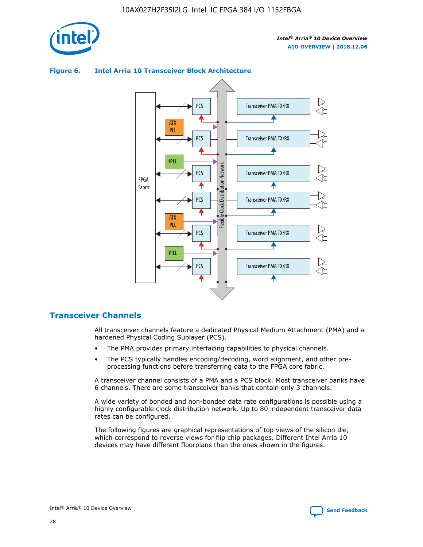

#### Transceiver PMA TX/RX PCS ATX PLL Transceiver PMA TX/RX PCS fPLL Network Flexible Clock Distribution Network PCS Transceiver PMA TX/RX FPGA **Clock Distribution** Fabric PCS Transceiver PMA TX/RX ATX Flexible PLL PCS Transceiver PMA TX/RX ▲ fPLL Transceiver PMA TX/RX PCS 4

# **Figure 6. Intel Arria 10 Transceiver Block Architecture**

# **Transceiver Channels**

All transceiver channels feature a dedicated Physical Medium Attachment (PMA) and a hardened Physical Coding Sublayer (PCS).

- The PMA provides primary interfacing capabilities to physical channels.
- The PCS typically handles encoding/decoding, word alignment, and other preprocessing functions before transferring data to the FPGA core fabric.

A transceiver channel consists of a PMA and a PCS block. Most transceiver banks have 6 channels. There are some transceiver banks that contain only 3 channels.

A wide variety of bonded and non-bonded data rate configurations is possible using a highly configurable clock distribution network. Up to 80 independent transceiver data rates can be configured.

The following figures are graphical representations of top views of the silicon die, which correspond to reverse views for flip chip packages. Different Intel Arria 10 devices may have different floorplans than the ones shown in the figures.

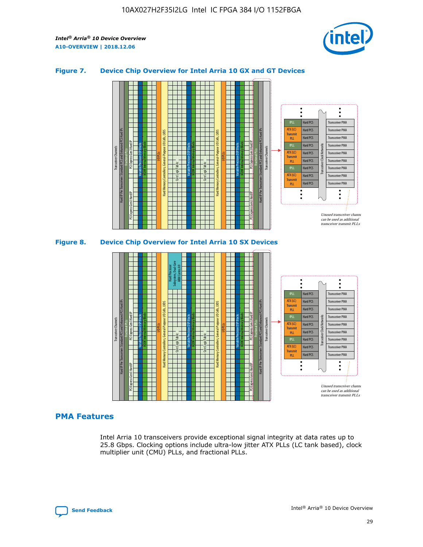

## **Figure 7. Device Chip Overview for Intel Arria 10 GX and GT Devices**



# **PMA Features**

Intel Arria 10 transceivers provide exceptional signal integrity at data rates up to 25.8 Gbps. Clocking options include ultra-low jitter ATX PLLs (LC tank based), clock multiplier unit (CMU) PLLs, and fractional PLLs.



Hard PCS Hard PCS Hard PCS Hard PCS Hard PCS

ATX (LC) Transmi PLL fPLL ATX (LC) **Transmit** PLL

Transceiver PMA Transceiver PMA Transceiver PMA

Transceiver PMA Transceiver PMA

Unused transceiver chann can be used as additional transceiver transmit PLLs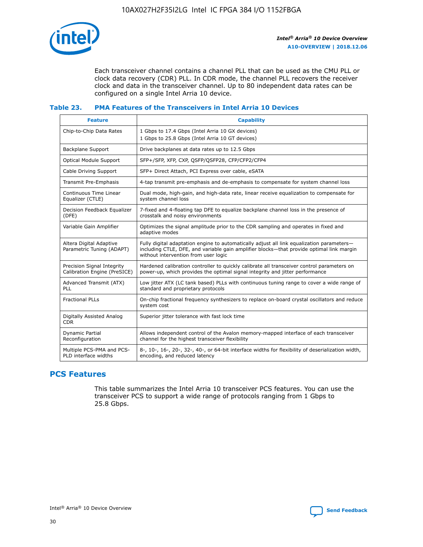

Each transceiver channel contains a channel PLL that can be used as the CMU PLL or clock data recovery (CDR) PLL. In CDR mode, the channel PLL recovers the receiver clock and data in the transceiver channel. Up to 80 independent data rates can be configured on a single Intel Arria 10 device.

## **Table 23. PMA Features of the Transceivers in Intel Arria 10 Devices**

| <b>Feature</b>                                             | <b>Capability</b>                                                                                                                                                                                                             |
|------------------------------------------------------------|-------------------------------------------------------------------------------------------------------------------------------------------------------------------------------------------------------------------------------|
| Chip-to-Chip Data Rates                                    | 1 Gbps to 17.4 Gbps (Intel Arria 10 GX devices)<br>1 Gbps to 25.8 Gbps (Intel Arria 10 GT devices)                                                                                                                            |
| <b>Backplane Support</b>                                   | Drive backplanes at data rates up to 12.5 Gbps                                                                                                                                                                                |
| <b>Optical Module Support</b>                              | SFP+/SFP, XFP, CXP, QSFP/QSFP28, CFP/CFP2/CFP4                                                                                                                                                                                |
| Cable Driving Support                                      | SFP+ Direct Attach, PCI Express over cable, eSATA                                                                                                                                                                             |
| Transmit Pre-Emphasis                                      | 4-tap transmit pre-emphasis and de-emphasis to compensate for system channel loss                                                                                                                                             |
| Continuous Time Linear<br>Equalizer (CTLE)                 | Dual mode, high-gain, and high-data rate, linear receive equalization to compensate for<br>system channel loss                                                                                                                |
| Decision Feedback Equalizer<br>(DFE)                       | 7-fixed and 4-floating tap DFE to equalize backplane channel loss in the presence of<br>crosstalk and noisy environments                                                                                                      |
| Variable Gain Amplifier                                    | Optimizes the signal amplitude prior to the CDR sampling and operates in fixed and<br>adaptive modes                                                                                                                          |
| Altera Digital Adaptive<br>Parametric Tuning (ADAPT)       | Fully digital adaptation engine to automatically adjust all link equalization parameters-<br>including CTLE, DFE, and variable gain amplifier blocks—that provide optimal link margin<br>without intervention from user logic |
| Precision Signal Integrity<br>Calibration Engine (PreSICE) | Hardened calibration controller to quickly calibrate all transceiver control parameters on<br>power-up, which provides the optimal signal integrity and jitter performance                                                    |
| Advanced Transmit (ATX)<br><b>PLL</b>                      | Low jitter ATX (LC tank based) PLLs with continuous tuning range to cover a wide range of<br>standard and proprietary protocols                                                                                               |
| <b>Fractional PLLs</b>                                     | On-chip fractional frequency synthesizers to replace on-board crystal oscillators and reduce<br>system cost                                                                                                                   |
| Digitally Assisted Analog<br><b>CDR</b>                    | Superior jitter tolerance with fast lock time                                                                                                                                                                                 |
| Dynamic Partial<br>Reconfiguration                         | Allows independent control of the Avalon memory-mapped interface of each transceiver<br>channel for the highest transceiver flexibility                                                                                       |
| Multiple PCS-PMA and PCS-<br>PLD interface widths          | 8-, 10-, 16-, 20-, 32-, 40-, or 64-bit interface widths for flexibility of deserialization width,<br>encoding, and reduced latency                                                                                            |

# **PCS Features**

This table summarizes the Intel Arria 10 transceiver PCS features. You can use the transceiver PCS to support a wide range of protocols ranging from 1 Gbps to 25.8 Gbps.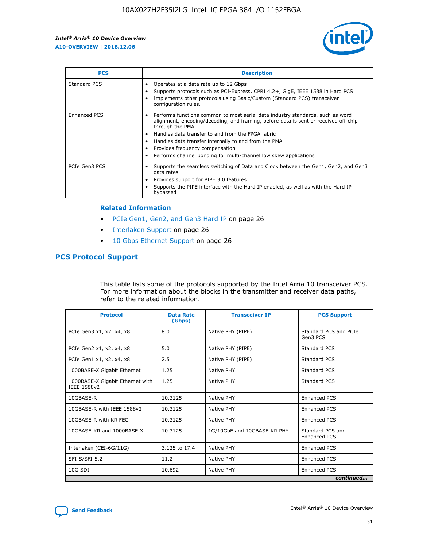

| <b>PCS</b>    | <b>Description</b>                                                                                                                                                                                                                                                                                                                                                                                             |
|---------------|----------------------------------------------------------------------------------------------------------------------------------------------------------------------------------------------------------------------------------------------------------------------------------------------------------------------------------------------------------------------------------------------------------------|
| Standard PCS  | Operates at a data rate up to 12 Gbps<br>Supports protocols such as PCI-Express, CPRI 4.2+, GigE, IEEE 1588 in Hard PCS<br>Implements other protocols using Basic/Custom (Standard PCS) transceiver<br>configuration rules.                                                                                                                                                                                    |
| Enhanced PCS  | Performs functions common to most serial data industry standards, such as word<br>alignment, encoding/decoding, and framing, before data is sent or received off-chip<br>through the PMA<br>• Handles data transfer to and from the FPGA fabric<br>Handles data transfer internally to and from the PMA<br>Provides frequency compensation<br>Performs channel bonding for multi-channel low skew applications |
| PCIe Gen3 PCS | Supports the seamless switching of Data and Clock between the Gen1, Gen2, and Gen3<br>data rates<br>Provides support for PIPE 3.0 features<br>Supports the PIPE interface with the Hard IP enabled, as well as with the Hard IP<br>bypassed                                                                                                                                                                    |

#### **Related Information**

- PCIe Gen1, Gen2, and Gen3 Hard IP on page 26
- Interlaken Support on page 26
- 10 Gbps Ethernet Support on page 26

# **PCS Protocol Support**

This table lists some of the protocols supported by the Intel Arria 10 transceiver PCS. For more information about the blocks in the transmitter and receiver data paths, refer to the related information.

| <b>Protocol</b>                                 | <b>Data Rate</b><br>(Gbps) | <b>Transceiver IP</b>       | <b>PCS Support</b>                      |
|-------------------------------------------------|----------------------------|-----------------------------|-----------------------------------------|
| PCIe Gen3 x1, x2, x4, x8                        | 8.0                        | Native PHY (PIPE)           | Standard PCS and PCIe<br>Gen3 PCS       |
| PCIe Gen2 x1, x2, x4, x8                        | 5.0                        | Native PHY (PIPE)           | <b>Standard PCS</b>                     |
| PCIe Gen1 x1, x2, x4, x8                        | 2.5                        | Native PHY (PIPE)           | Standard PCS                            |
| 1000BASE-X Gigabit Ethernet                     | 1.25                       | Native PHY                  | <b>Standard PCS</b>                     |
| 1000BASE-X Gigabit Ethernet with<br>IEEE 1588v2 | 1.25                       | Native PHY                  | Standard PCS                            |
| 10GBASE-R                                       | 10.3125                    | Native PHY                  | <b>Enhanced PCS</b>                     |
| 10GBASE-R with IEEE 1588v2                      | 10.3125                    | Native PHY                  | <b>Enhanced PCS</b>                     |
| 10GBASE-R with KR FEC                           | 10.3125                    | Native PHY                  | <b>Enhanced PCS</b>                     |
| 10GBASE-KR and 1000BASE-X                       | 10.3125                    | 1G/10GbE and 10GBASE-KR PHY | Standard PCS and<br><b>Enhanced PCS</b> |
| Interlaken (CEI-6G/11G)                         | 3.125 to 17.4              | Native PHY                  | <b>Enhanced PCS</b>                     |
| SFI-S/SFI-5.2                                   | 11.2                       | Native PHY                  | <b>Enhanced PCS</b>                     |
| $10G$ SDI                                       | 10.692                     | Native PHY                  | <b>Enhanced PCS</b>                     |
|                                                 |                            |                             | continued                               |

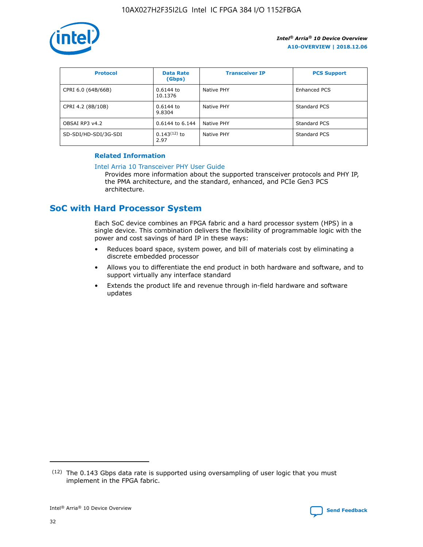

| <b>Protocol</b>      | <b>Data Rate</b><br>(Gbps) | <b>Transceiver IP</b> | <b>PCS Support</b> |
|----------------------|----------------------------|-----------------------|--------------------|
| CPRI 6.0 (64B/66B)   | 0.6144 to<br>10.1376       | Native PHY            | Enhanced PCS       |
| CPRI 4.2 (8B/10B)    | 0.6144 to<br>9.8304        | Native PHY            | Standard PCS       |
| OBSAI RP3 v4.2       | 0.6144 to 6.144            | Native PHY            | Standard PCS       |
| SD-SDI/HD-SDI/3G-SDI | $0.143(12)$ to<br>2.97     | Native PHY            | Standard PCS       |

# **Related Information**

#### [Intel Arria 10 Transceiver PHY User Guide](https://www.intel.com/content/www/us/en/programmable/documentation/nik1398707230472.html#nik1398707091164)

Provides more information about the supported transceiver protocols and PHY IP, the PMA architecture, and the standard, enhanced, and PCIe Gen3 PCS architecture.

# **SoC with Hard Processor System**

Each SoC device combines an FPGA fabric and a hard processor system (HPS) in a single device. This combination delivers the flexibility of programmable logic with the power and cost savings of hard IP in these ways:

- Reduces board space, system power, and bill of materials cost by eliminating a discrete embedded processor
- Allows you to differentiate the end product in both hardware and software, and to support virtually any interface standard
- Extends the product life and revenue through in-field hardware and software updates

 $(12)$  The 0.143 Gbps data rate is supported using oversampling of user logic that you must implement in the FPGA fabric.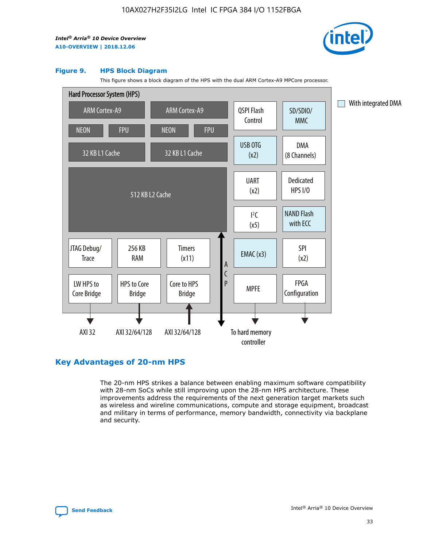

#### **Figure 9. HPS Block Diagram**

This figure shows a block diagram of the HPS with the dual ARM Cortex-A9 MPCore processor.



# **Key Advantages of 20-nm HPS**

The 20-nm HPS strikes a balance between enabling maximum software compatibility with 28-nm SoCs while still improving upon the 28-nm HPS architecture. These improvements address the requirements of the next generation target markets such as wireless and wireline communications, compute and storage equipment, broadcast and military in terms of performance, memory bandwidth, connectivity via backplane and security.

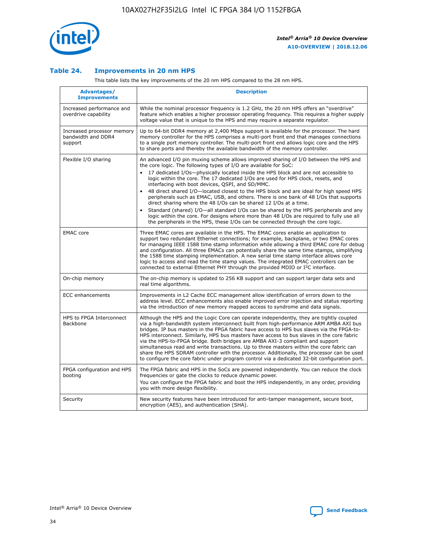

## **Table 24. Improvements in 20 nm HPS**

This table lists the key improvements of the 20 nm HPS compared to the 28 nm HPS.

| Advantages/<br><b>Improvements</b>                          | <b>Description</b>                                                                                                                                                                                                                                                                                                                                                                                                                                                                                                                                                                                                                                                                                                                                                                                                                                                                                                                                |
|-------------------------------------------------------------|---------------------------------------------------------------------------------------------------------------------------------------------------------------------------------------------------------------------------------------------------------------------------------------------------------------------------------------------------------------------------------------------------------------------------------------------------------------------------------------------------------------------------------------------------------------------------------------------------------------------------------------------------------------------------------------------------------------------------------------------------------------------------------------------------------------------------------------------------------------------------------------------------------------------------------------------------|
| Increased performance and<br>overdrive capability           | While the nominal processor frequency is 1.2 GHz, the 20 nm HPS offers an "overdrive"<br>feature which enables a higher processor operating frequency. This requires a higher supply<br>voltage value that is unique to the HPS and may require a separate regulator.                                                                                                                                                                                                                                                                                                                                                                                                                                                                                                                                                                                                                                                                             |
| Increased processor memory<br>bandwidth and DDR4<br>support | Up to 64-bit DDR4 memory at 2,400 Mbps support is available for the processor. The hard<br>memory controller for the HPS comprises a multi-port front end that manages connections<br>to a single port memory controller. The multi-port front end allows logic core and the HPS<br>to share ports and thereby the available bandwidth of the memory controller.                                                                                                                                                                                                                                                                                                                                                                                                                                                                                                                                                                                  |
| Flexible I/O sharing                                        | An advanced I/O pin muxing scheme allows improved sharing of I/O between the HPS and<br>the core logic. The following types of I/O are available for SoC:<br>$\bullet$<br>17 dedicated I/Os-physically located inside the HPS block and are not accessible to<br>logic within the core. The 17 dedicated I/Os are used for HPS clock, resets, and<br>interfacing with boot devices, QSPI, and SD/MMC.<br>48 direct shared I/O-located closest to the HPS block and are ideal for high speed HPS<br>$\bullet$<br>peripherals such as EMAC, USB, and others. There is one bank of 48 I/Os that supports<br>direct sharing where the 48 I/Os can be shared 12 I/Os at a time.<br>Standard (shared) I/O-all standard I/Os can be shared by the HPS peripherals and any<br>logic within the core. For designs where more than 48 I/Os are required to fully use all<br>the peripherals in the HPS, these I/Os can be connected through the core logic. |
| <b>EMAC</b> core                                            | Three EMAC cores are available in the HPS. The EMAC cores enable an application to<br>support two redundant Ethernet connections; for example, backplane, or two EMAC cores<br>for managing IEEE 1588 time stamp information while allowing a third EMAC core for debug<br>and configuration. All three EMACs can potentially share the same time stamps, simplifying<br>the 1588 time stamping implementation. A new serial time stamp interface allows core<br>logic to access and read the time stamp values. The integrated EMAC controllers can be<br>connected to external Ethernet PHY through the provided MDIO or I <sup>2</sup> C interface.                                                                                                                                                                                                                                                                                            |
| On-chip memory                                              | The on-chip memory is updated to 256 KB support and can support larger data sets and<br>real time algorithms.                                                                                                                                                                                                                                                                                                                                                                                                                                                                                                                                                                                                                                                                                                                                                                                                                                     |
| <b>ECC</b> enhancements                                     | Improvements in L2 Cache ECC management allow identification of errors down to the<br>address level. ECC enhancements also enable improved error injection and status reporting<br>via the introduction of new memory mapped access to syndrome and data signals.                                                                                                                                                                                                                                                                                                                                                                                                                                                                                                                                                                                                                                                                                 |
| HPS to FPGA Interconnect<br>Backbone                        | Although the HPS and the Logic Core can operate independently, they are tightly coupled<br>via a high-bandwidth system interconnect built from high-performance ARM AMBA AXI bus<br>bridges. IP bus masters in the FPGA fabric have access to HPS bus slaves via the FPGA-to-<br>HPS interconnect. Similarly, HPS bus masters have access to bus slaves in the core fabric<br>via the HPS-to-FPGA bridge. Both bridges are AMBA AXI-3 compliant and support<br>simultaneous read and write transactions. Up to three masters within the core fabric can<br>share the HPS SDRAM controller with the processor. Additionally, the processor can be used<br>to configure the core fabric under program control via a dedicated 32-bit configuration port.                                                                                                                                                                                            |
| FPGA configuration and HPS<br>booting                       | The FPGA fabric and HPS in the SoCs are powered independently. You can reduce the clock<br>frequencies or gate the clocks to reduce dynamic power.<br>You can configure the FPGA fabric and boot the HPS independently, in any order, providing<br>you with more design flexibility.                                                                                                                                                                                                                                                                                                                                                                                                                                                                                                                                                                                                                                                              |
| Security                                                    | New security features have been introduced for anti-tamper management, secure boot,<br>encryption (AES), and authentication (SHA).                                                                                                                                                                                                                                                                                                                                                                                                                                                                                                                                                                                                                                                                                                                                                                                                                |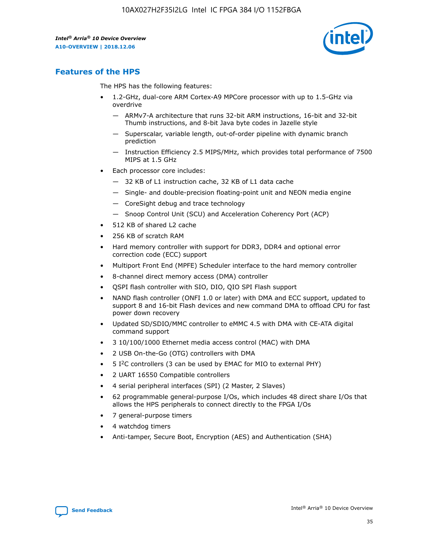

# **Features of the HPS**

The HPS has the following features:

- 1.2-GHz, dual-core ARM Cortex-A9 MPCore processor with up to 1.5-GHz via overdrive
	- ARMv7-A architecture that runs 32-bit ARM instructions, 16-bit and 32-bit Thumb instructions, and 8-bit Java byte codes in Jazelle style
	- Superscalar, variable length, out-of-order pipeline with dynamic branch prediction
	- Instruction Efficiency 2.5 MIPS/MHz, which provides total performance of 7500 MIPS at 1.5 GHz
- Each processor core includes:
	- 32 KB of L1 instruction cache, 32 KB of L1 data cache
	- Single- and double-precision floating-point unit and NEON media engine
	- CoreSight debug and trace technology
	- Snoop Control Unit (SCU) and Acceleration Coherency Port (ACP)
- 512 KB of shared L2 cache
- 256 KB of scratch RAM
- Hard memory controller with support for DDR3, DDR4 and optional error correction code (ECC) support
- Multiport Front End (MPFE) Scheduler interface to the hard memory controller
- 8-channel direct memory access (DMA) controller
- QSPI flash controller with SIO, DIO, QIO SPI Flash support
- NAND flash controller (ONFI 1.0 or later) with DMA and ECC support, updated to support 8 and 16-bit Flash devices and new command DMA to offload CPU for fast power down recovery
- Updated SD/SDIO/MMC controller to eMMC 4.5 with DMA with CE-ATA digital command support
- 3 10/100/1000 Ethernet media access control (MAC) with DMA
- 2 USB On-the-Go (OTG) controllers with DMA
- $\bullet$  5 I<sup>2</sup>C controllers (3 can be used by EMAC for MIO to external PHY)
- 2 UART 16550 Compatible controllers
- 4 serial peripheral interfaces (SPI) (2 Master, 2 Slaves)
- 62 programmable general-purpose I/Os, which includes 48 direct share I/Os that allows the HPS peripherals to connect directly to the FPGA I/Os
- 7 general-purpose timers
- 4 watchdog timers
- Anti-tamper, Secure Boot, Encryption (AES) and Authentication (SHA)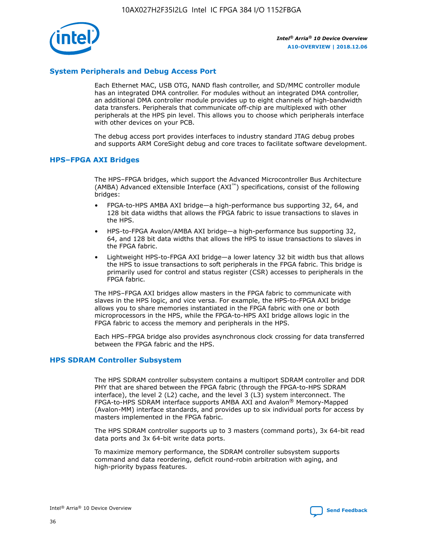

# **System Peripherals and Debug Access Port**

Each Ethernet MAC, USB OTG, NAND flash controller, and SD/MMC controller module has an integrated DMA controller. For modules without an integrated DMA controller, an additional DMA controller module provides up to eight channels of high-bandwidth data transfers. Peripherals that communicate off-chip are multiplexed with other peripherals at the HPS pin level. This allows you to choose which peripherals interface with other devices on your PCB.

The debug access port provides interfaces to industry standard JTAG debug probes and supports ARM CoreSight debug and core traces to facilitate software development.

## **HPS–FPGA AXI Bridges**

The HPS–FPGA bridges, which support the Advanced Microcontroller Bus Architecture (AMBA) Advanced eXtensible Interface (AXI™) specifications, consist of the following bridges:

- FPGA-to-HPS AMBA AXI bridge—a high-performance bus supporting 32, 64, and 128 bit data widths that allows the FPGA fabric to issue transactions to slaves in the HPS.
- HPS-to-FPGA Avalon/AMBA AXI bridge—a high-performance bus supporting 32, 64, and 128 bit data widths that allows the HPS to issue transactions to slaves in the FPGA fabric.
- Lightweight HPS-to-FPGA AXI bridge—a lower latency 32 bit width bus that allows the HPS to issue transactions to soft peripherals in the FPGA fabric. This bridge is primarily used for control and status register (CSR) accesses to peripherals in the FPGA fabric.

The HPS–FPGA AXI bridges allow masters in the FPGA fabric to communicate with slaves in the HPS logic, and vice versa. For example, the HPS-to-FPGA AXI bridge allows you to share memories instantiated in the FPGA fabric with one or both microprocessors in the HPS, while the FPGA-to-HPS AXI bridge allows logic in the FPGA fabric to access the memory and peripherals in the HPS.

Each HPS–FPGA bridge also provides asynchronous clock crossing for data transferred between the FPGA fabric and the HPS.

#### **HPS SDRAM Controller Subsystem**

The HPS SDRAM controller subsystem contains a multiport SDRAM controller and DDR PHY that are shared between the FPGA fabric (through the FPGA-to-HPS SDRAM interface), the level 2 (L2) cache, and the level 3 (L3) system interconnect. The FPGA-to-HPS SDRAM interface supports AMBA AXI and Avalon® Memory-Mapped (Avalon-MM) interface standards, and provides up to six individual ports for access by masters implemented in the FPGA fabric.

The HPS SDRAM controller supports up to 3 masters (command ports), 3x 64-bit read data ports and 3x 64-bit write data ports.

To maximize memory performance, the SDRAM controller subsystem supports command and data reordering, deficit round-robin arbitration with aging, and high-priority bypass features.

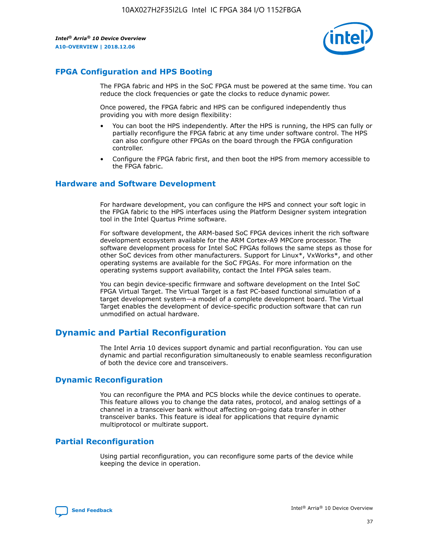

# **FPGA Configuration and HPS Booting**

The FPGA fabric and HPS in the SoC FPGA must be powered at the same time. You can reduce the clock frequencies or gate the clocks to reduce dynamic power.

Once powered, the FPGA fabric and HPS can be configured independently thus providing you with more design flexibility:

- You can boot the HPS independently. After the HPS is running, the HPS can fully or partially reconfigure the FPGA fabric at any time under software control. The HPS can also configure other FPGAs on the board through the FPGA configuration controller.
- Configure the FPGA fabric first, and then boot the HPS from memory accessible to the FPGA fabric.

# **Hardware and Software Development**

For hardware development, you can configure the HPS and connect your soft logic in the FPGA fabric to the HPS interfaces using the Platform Designer system integration tool in the Intel Quartus Prime software.

For software development, the ARM-based SoC FPGA devices inherit the rich software development ecosystem available for the ARM Cortex-A9 MPCore processor. The software development process for Intel SoC FPGAs follows the same steps as those for other SoC devices from other manufacturers. Support for Linux\*, VxWorks\*, and other operating systems are available for the SoC FPGAs. For more information on the operating systems support availability, contact the Intel FPGA sales team.

You can begin device-specific firmware and software development on the Intel SoC FPGA Virtual Target. The Virtual Target is a fast PC-based functional simulation of a target development system—a model of a complete development board. The Virtual Target enables the development of device-specific production software that can run unmodified on actual hardware.

# **Dynamic and Partial Reconfiguration**

The Intel Arria 10 devices support dynamic and partial reconfiguration. You can use dynamic and partial reconfiguration simultaneously to enable seamless reconfiguration of both the device core and transceivers.

# **Dynamic Reconfiguration**

You can reconfigure the PMA and PCS blocks while the device continues to operate. This feature allows you to change the data rates, protocol, and analog settings of a channel in a transceiver bank without affecting on-going data transfer in other transceiver banks. This feature is ideal for applications that require dynamic multiprotocol or multirate support.

# **Partial Reconfiguration**

Using partial reconfiguration, you can reconfigure some parts of the device while keeping the device in operation.

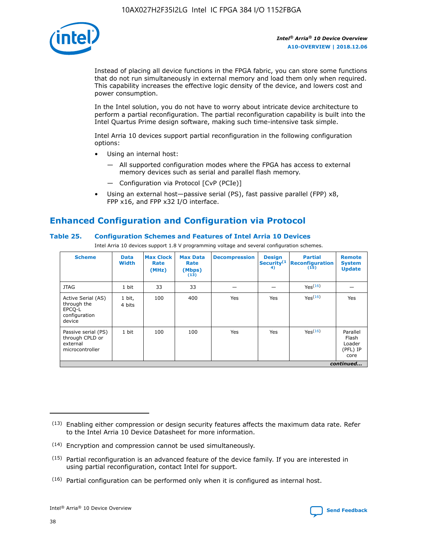

Instead of placing all device functions in the FPGA fabric, you can store some functions that do not run simultaneously in external memory and load them only when required. This capability increases the effective logic density of the device, and lowers cost and power consumption.

In the Intel solution, you do not have to worry about intricate device architecture to perform a partial reconfiguration. The partial reconfiguration capability is built into the Intel Quartus Prime design software, making such time-intensive task simple.

Intel Arria 10 devices support partial reconfiguration in the following configuration options:

- Using an internal host:
	- All supported configuration modes where the FPGA has access to external memory devices such as serial and parallel flash memory.
	- Configuration via Protocol [CvP (PCIe)]
- Using an external host—passive serial (PS), fast passive parallel (FPP) x8, FPP x16, and FPP x32 I/O interface.

# **Enhanced Configuration and Configuration via Protocol**

## **Table 25. Configuration Schemes and Features of Intel Arria 10 Devices**

Intel Arria 10 devices support 1.8 V programming voltage and several configuration schemes.

| <b>Scheme</b>                                                          | <b>Data</b><br><b>Width</b> | <b>Max Clock</b><br>Rate<br>(MHz) | <b>Max Data</b><br>Rate<br>(Mbps)<br>(13) | <b>Decompression</b> | <b>Design</b><br>Security <sup>(1</sup><br>4) | <b>Partial</b><br>Reconfiguration<br>(15) | <b>Remote</b><br><b>System</b><br><b>Update</b> |
|------------------------------------------------------------------------|-----------------------------|-----------------------------------|-------------------------------------------|----------------------|-----------------------------------------------|-------------------------------------------|-------------------------------------------------|
| <b>JTAG</b>                                                            | 1 bit                       | 33                                | 33                                        |                      |                                               | Yes(16)                                   |                                                 |
| Active Serial (AS)<br>through the<br>EPCO-L<br>configuration<br>device | 1 bit,<br>4 bits            | 100                               | 400                                       | Yes                  | Yes                                           | Yes(16)                                   | Yes                                             |
| Passive serial (PS)<br>through CPLD or<br>external<br>microcontroller  | 1 bit                       | 100                               | 100                                       | Yes                  | Yes                                           | Yes <sup>(16)</sup>                       | Parallel<br>Flash<br>Loader<br>(PFL) IP<br>core |
|                                                                        |                             |                                   |                                           |                      |                                               |                                           | continued                                       |

<sup>(13)</sup> Enabling either compression or design security features affects the maximum data rate. Refer to the Intel Arria 10 Device Datasheet for more information.

<sup>(14)</sup> Encryption and compression cannot be used simultaneously.

 $(15)$  Partial reconfiguration is an advanced feature of the device family. If you are interested in using partial reconfiguration, contact Intel for support.

 $(16)$  Partial configuration can be performed only when it is configured as internal host.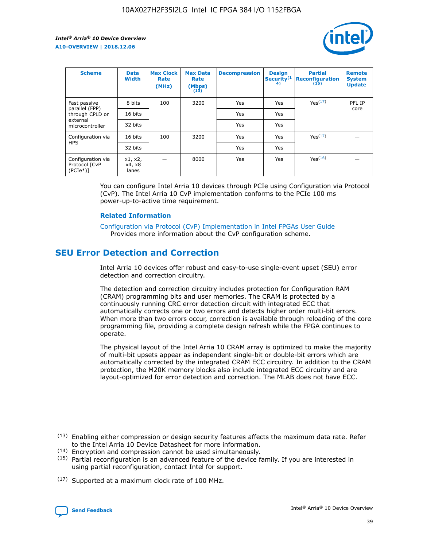

| <b>Scheme</b>                                   | <b>Data</b><br><b>Width</b> | <b>Max Clock</b><br>Rate<br>(MHz) | <b>Max Data</b><br>Rate<br>(Mbps)<br>(13) | <b>Decompression</b> | <b>Design</b><br>Security <sup>(1</sup><br>4) | <b>Partial</b><br><b>Reconfiguration</b><br>(15) | <b>Remote</b><br><b>System</b><br><b>Update</b> |
|-------------------------------------------------|-----------------------------|-----------------------------------|-------------------------------------------|----------------------|-----------------------------------------------|--------------------------------------------------|-------------------------------------------------|
| Fast passive                                    | 8 bits                      | 100                               | 3200                                      | Yes                  | Yes                                           | Yes <sup>(17)</sup>                              | PFL IP                                          |
| parallel (FPP)<br>through CPLD or               | 16 bits                     |                                   |                                           | Yes                  | Yes                                           |                                                  | core                                            |
| external<br>microcontroller                     | 32 bits                     |                                   |                                           | Yes                  | Yes                                           |                                                  |                                                 |
| Configuration via                               | 16 bits                     | 100                               | 3200                                      | Yes                  | Yes                                           | Yes <sup>(17)</sup>                              |                                                 |
| <b>HPS</b>                                      | 32 bits                     |                                   |                                           | Yes                  | Yes                                           |                                                  |                                                 |
| Configuration via<br>Protocol [CvP<br>$(PCIe*)$ | x1, x2,<br>x4, x8<br>lanes  |                                   | 8000                                      | Yes                  | Yes                                           | Yes(16)                                          |                                                 |

You can configure Intel Arria 10 devices through PCIe using Configuration via Protocol (CvP). The Intel Arria 10 CvP implementation conforms to the PCIe 100 ms power-up-to-active time requirement.

#### **Related Information**

[Configuration via Protocol \(CvP\) Implementation in Intel FPGAs User Guide](https://www.intel.com/content/www/us/en/programmable/documentation/dsu1441819344145.html#dsu1442269728522) Provides more information about the CvP configuration scheme.

# **SEU Error Detection and Correction**

Intel Arria 10 devices offer robust and easy-to-use single-event upset (SEU) error detection and correction circuitry.

The detection and correction circuitry includes protection for Configuration RAM (CRAM) programming bits and user memories. The CRAM is protected by a continuously running CRC error detection circuit with integrated ECC that automatically corrects one or two errors and detects higher order multi-bit errors. When more than two errors occur, correction is available through reloading of the core programming file, providing a complete design refresh while the FPGA continues to operate.

The physical layout of the Intel Arria 10 CRAM array is optimized to make the majority of multi-bit upsets appear as independent single-bit or double-bit errors which are automatically corrected by the integrated CRAM ECC circuitry. In addition to the CRAM protection, the M20K memory blocks also include integrated ECC circuitry and are layout-optimized for error detection and correction. The MLAB does not have ECC.

(14) Encryption and compression cannot be used simultaneously.

<sup>(17)</sup> Supported at a maximum clock rate of 100 MHz.



 $(13)$  Enabling either compression or design security features affects the maximum data rate. Refer to the Intel Arria 10 Device Datasheet for more information.

 $(15)$  Partial reconfiguration is an advanced feature of the device family. If you are interested in using partial reconfiguration, contact Intel for support.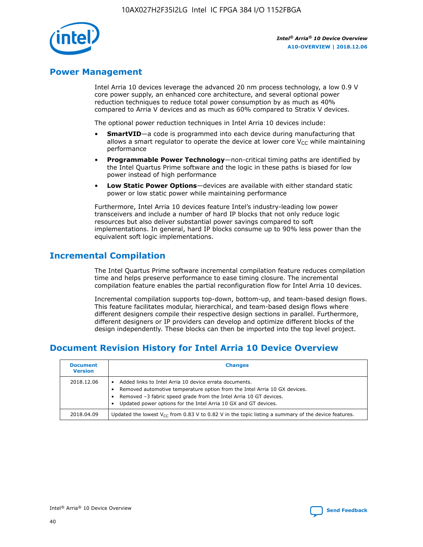

# **Power Management**

Intel Arria 10 devices leverage the advanced 20 nm process technology, a low 0.9 V core power supply, an enhanced core architecture, and several optional power reduction techniques to reduce total power consumption by as much as 40% compared to Arria V devices and as much as 60% compared to Stratix V devices.

The optional power reduction techniques in Intel Arria 10 devices include:

- **SmartVID**—a code is programmed into each device during manufacturing that allows a smart regulator to operate the device at lower core  $V_{CC}$  while maintaining performance
- **Programmable Power Technology**—non-critical timing paths are identified by the Intel Quartus Prime software and the logic in these paths is biased for low power instead of high performance
- **Low Static Power Options**—devices are available with either standard static power or low static power while maintaining performance

Furthermore, Intel Arria 10 devices feature Intel's industry-leading low power transceivers and include a number of hard IP blocks that not only reduce logic resources but also deliver substantial power savings compared to soft implementations. In general, hard IP blocks consume up to 90% less power than the equivalent soft logic implementations.

# **Incremental Compilation**

The Intel Quartus Prime software incremental compilation feature reduces compilation time and helps preserve performance to ease timing closure. The incremental compilation feature enables the partial reconfiguration flow for Intel Arria 10 devices.

Incremental compilation supports top-down, bottom-up, and team-based design flows. This feature facilitates modular, hierarchical, and team-based design flows where different designers compile their respective design sections in parallel. Furthermore, different designers or IP providers can develop and optimize different blocks of the design independently. These blocks can then be imported into the top level project.

# **Document Revision History for Intel Arria 10 Device Overview**

| <b>Document</b><br><b>Version</b> | <b>Changes</b>                                                                                                                                                                                                                                                              |
|-----------------------------------|-----------------------------------------------------------------------------------------------------------------------------------------------------------------------------------------------------------------------------------------------------------------------------|
| 2018.12.06                        | Added links to Intel Arria 10 device errata documents.<br>Removed automotive temperature option from the Intel Arria 10 GX devices.<br>Removed -3 fabric speed grade from the Intel Arria 10 GT devices.<br>Updated power options for the Intel Arria 10 GX and GT devices. |
| 2018.04.09                        | Updated the lowest $V_{CC}$ from 0.83 V to 0.82 V in the topic listing a summary of the device features.                                                                                                                                                                    |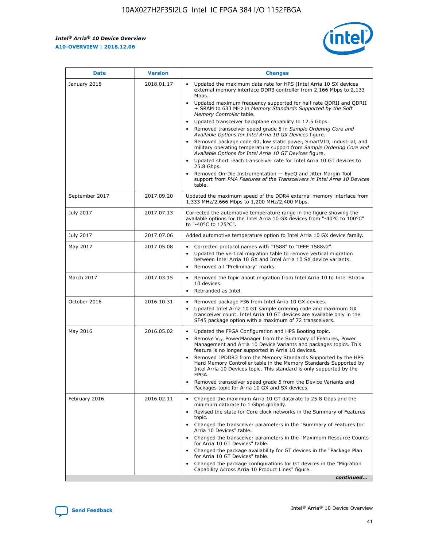*Intel® Arria® 10 Device Overview* **A10-OVERVIEW | 2018.12.06**



| <b>Date</b>    | <b>Version</b> | <b>Changes</b>                                                                                                                                                                                                                                                                                                                                                                                                                                                                                                                                                                                                                                                                                                                                                                                                                                                                                                                                                                         |
|----------------|----------------|----------------------------------------------------------------------------------------------------------------------------------------------------------------------------------------------------------------------------------------------------------------------------------------------------------------------------------------------------------------------------------------------------------------------------------------------------------------------------------------------------------------------------------------------------------------------------------------------------------------------------------------------------------------------------------------------------------------------------------------------------------------------------------------------------------------------------------------------------------------------------------------------------------------------------------------------------------------------------------------|
| January 2018   | 2018.01.17     | Updated the maximum data rate for HPS (Intel Arria 10 SX devices<br>external memory interface DDR3 controller from 2,166 Mbps to 2,133<br>Mbps.<br>Updated maximum frequency supported for half rate QDRII and QDRII<br>+ SRAM to 633 MHz in Memory Standards Supported by the Soft<br>Memory Controller table.<br>Updated transceiver backplane capability to 12.5 Gbps.<br>$\bullet$<br>Removed transceiver speed grade 5 in Sample Ordering Core and<br>$\bullet$<br>Available Options for Intel Arria 10 GX Devices figure.<br>Removed package code 40, low static power, SmartVID, industrial, and<br>military operating temperature support from Sample Ordering Core and<br>Available Options for Intel Arria 10 GT Devices figure.<br>Updated short reach transceiver rate for Intel Arria 10 GT devices to<br>25.8 Gbps.<br>Removed On-Die Instrumentation - EyeQ and Jitter Margin Tool<br>support from PMA Features of the Transceivers in Intel Arria 10 Devices<br>table. |
| September 2017 | 2017.09.20     | Updated the maximum speed of the DDR4 external memory interface from<br>1,333 MHz/2,666 Mbps to 1,200 MHz/2,400 Mbps.                                                                                                                                                                                                                                                                                                                                                                                                                                                                                                                                                                                                                                                                                                                                                                                                                                                                  |
| July 2017      | 2017.07.13     | Corrected the automotive temperature range in the figure showing the<br>available options for the Intel Arria 10 GX devices from "-40°C to 100°C"<br>to "-40°C to 125°C".                                                                                                                                                                                                                                                                                                                                                                                                                                                                                                                                                                                                                                                                                                                                                                                                              |
| July 2017      | 2017.07.06     | Added automotive temperature option to Intel Arria 10 GX device family.                                                                                                                                                                                                                                                                                                                                                                                                                                                                                                                                                                                                                                                                                                                                                                                                                                                                                                                |
| May 2017       | 2017.05.08     | Corrected protocol names with "1588" to "IEEE 1588v2".<br>$\bullet$<br>Updated the vertical migration table to remove vertical migration<br>$\bullet$<br>between Intel Arria 10 GX and Intel Arria 10 SX device variants.<br>Removed all "Preliminary" marks.<br>$\bullet$                                                                                                                                                                                                                                                                                                                                                                                                                                                                                                                                                                                                                                                                                                             |
| March 2017     | 2017.03.15     | Removed the topic about migration from Intel Arria 10 to Intel Stratix<br>$\bullet$<br>10 devices.<br>Rebranded as Intel.<br>$\bullet$                                                                                                                                                                                                                                                                                                                                                                                                                                                                                                                                                                                                                                                                                                                                                                                                                                                 |
| October 2016   | 2016.10.31     | Removed package F36 from Intel Arria 10 GX devices.<br>Updated Intel Arria 10 GT sample ordering code and maximum GX<br>$\bullet$<br>transceiver count. Intel Arria 10 GT devices are available only in the<br>SF45 package option with a maximum of 72 transceivers.                                                                                                                                                                                                                                                                                                                                                                                                                                                                                                                                                                                                                                                                                                                  |
| May 2016       | 2016.05.02     | Updated the FPGA Configuration and HPS Booting topic.<br>$\bullet$<br>Remove V <sub>CC</sub> PowerManager from the Summary of Features, Power<br>Management and Arria 10 Device Variants and packages topics. This<br>feature is no longer supported in Arria 10 devices.<br>Removed LPDDR3 from the Memory Standards Supported by the HPS<br>Hard Memory Controller table in the Memory Standards Supported by<br>Intel Arria 10 Devices topic. This standard is only supported by the<br>FPGA.<br>Removed transceiver speed grade 5 from the Device Variants and<br>Packages topic for Arria 10 GX and SX devices.                                                                                                                                                                                                                                                                                                                                                                   |
| February 2016  | 2016.02.11     | Changed the maximum Arria 10 GT datarate to 25.8 Gbps and the<br>minimum datarate to 1 Gbps globally.<br>Revised the state for Core clock networks in the Summary of Features<br>$\bullet$<br>topic.<br>Changed the transceiver parameters in the "Summary of Features for<br>$\bullet$<br>Arria 10 Devices" table.<br>• Changed the transceiver parameters in the "Maximum Resource Counts<br>for Arria 10 GT Devices" table.<br>Changed the package availability for GT devices in the "Package Plan<br>for Arria 10 GT Devices" table.<br>Changed the package configurations for GT devices in the "Migration"<br>Capability Across Arria 10 Product Lines" figure.<br>continued                                                                                                                                                                                                                                                                                                    |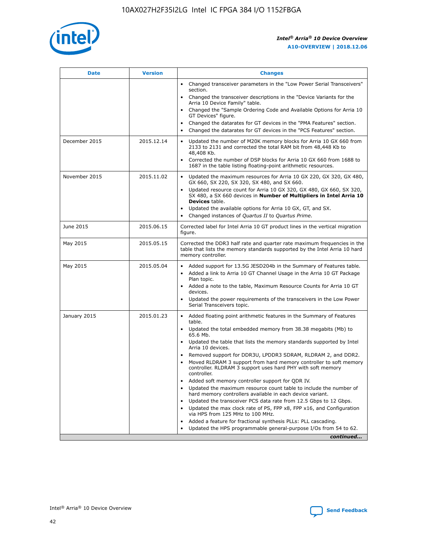

| <b>Date</b>   | <b>Version</b> | <b>Changes</b>                                                                                                                                                               |
|---------------|----------------|------------------------------------------------------------------------------------------------------------------------------------------------------------------------------|
|               |                | • Changed transceiver parameters in the "Low Power Serial Transceivers"<br>section.                                                                                          |
|               |                | Changed the transceiver descriptions in the "Device Variants for the<br>Arria 10 Device Family" table.                                                                       |
|               |                | Changed the "Sample Ordering Code and Available Options for Arria 10<br>GT Devices" figure.                                                                                  |
|               |                | Changed the datarates for GT devices in the "PMA Features" section.                                                                                                          |
|               |                | Changed the datarates for GT devices in the "PCS Features" section.                                                                                                          |
| December 2015 | 2015.12.14     | Updated the number of M20K memory blocks for Arria 10 GX 660 from<br>2133 to 2131 and corrected the total RAM bit from 48,448 Kb to<br>48,408 Kb.                            |
|               |                | Corrected the number of DSP blocks for Arria 10 GX 660 from 1688 to<br>$\bullet$<br>1687 in the table listing floating-point arithmetic resources.                           |
| November 2015 | 2015.11.02     | Updated the maximum resources for Arria 10 GX 220, GX 320, GX 480,<br>GX 660, SX 220, SX 320, SX 480, and SX 660.                                                            |
|               |                | • Updated resource count for Arria 10 GX 320, GX 480, GX 660, SX 320,<br>SX 480, a SX 660 devices in Number of Multipliers in Intel Arria 10<br><b>Devices</b> table.        |
|               |                | Updated the available options for Arria 10 GX, GT, and SX.                                                                                                                   |
|               |                | Changed instances of Quartus II to Quartus Prime.<br>$\bullet$                                                                                                               |
| June 2015     | 2015.06.15     | Corrected label for Intel Arria 10 GT product lines in the vertical migration<br>figure.                                                                                     |
| May 2015      | 2015.05.15     | Corrected the DDR3 half rate and quarter rate maximum frequencies in the<br>table that lists the memory standards supported by the Intel Arria 10 hard<br>memory controller. |
| May 2015      | 2015.05.04     | • Added support for 13.5G JESD204b in the Summary of Features table.<br>Added a link to Arria 10 GT Channel Usage in the Arria 10 GT Package<br>$\bullet$<br>Plan topic.     |
|               |                | • Added a note to the table, Maximum Resource Counts for Arria 10 GT<br>devices.                                                                                             |
|               |                | • Updated the power requirements of the transceivers in the Low Power<br>Serial Transceivers topic.                                                                          |
| January 2015  | 2015.01.23     | • Added floating point arithmetic features in the Summary of Features<br>table.                                                                                              |
|               |                | • Updated the total embedded memory from 38.38 megabits (Mb) to<br>65.6 Mb.                                                                                                  |
|               |                | • Updated the table that lists the memory standards supported by Intel<br>Arria 10 devices.                                                                                  |
|               |                | Removed support for DDR3U, LPDDR3 SDRAM, RLDRAM 2, and DDR2.                                                                                                                 |
|               |                | Moved RLDRAM 3 support from hard memory controller to soft memory<br>controller. RLDRAM 3 support uses hard PHY with soft memory<br>controller.                              |
|               |                | Added soft memory controller support for QDR IV.<br>$\bullet$                                                                                                                |
|               |                | Updated the maximum resource count table to include the number of<br>$\bullet$<br>hard memory controllers available in each device variant.                                  |
|               |                | Updated the transceiver PCS data rate from 12.5 Gbps to 12 Gbps.<br>$\bullet$                                                                                                |
|               |                | Updated the max clock rate of PS, FPP x8, FPP x16, and Configuration<br>via HPS from 125 MHz to 100 MHz.                                                                     |
|               |                | Added a feature for fractional synthesis PLLs: PLL cascading.<br>$\bullet$                                                                                                   |
|               |                | Updated the HPS programmable general-purpose I/Os from 54 to 62.                                                                                                             |
|               |                | continued                                                                                                                                                                    |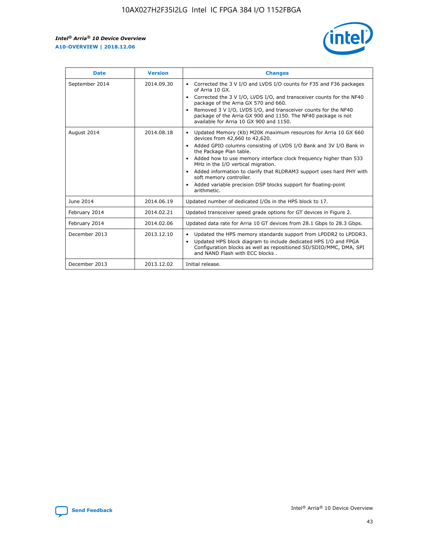r



| <b>Date</b>    | <b>Version</b> | <b>Changes</b>                                                                                                                                                                                                                                                                                                                                                                                                                                                                                                                         |
|----------------|----------------|----------------------------------------------------------------------------------------------------------------------------------------------------------------------------------------------------------------------------------------------------------------------------------------------------------------------------------------------------------------------------------------------------------------------------------------------------------------------------------------------------------------------------------------|
| September 2014 | 2014.09.30     | Corrected the 3 V I/O and LVDS I/O counts for F35 and F36 packages<br>of Arria 10 GX.<br>Corrected the 3 V I/O, LVDS I/O, and transceiver counts for the NF40<br>$\bullet$<br>package of the Arria GX 570 and 660.<br>Removed 3 V I/O, LVDS I/O, and transceiver counts for the NF40<br>package of the Arria GX 900 and 1150. The NF40 package is not<br>available for Arria 10 GX 900 and 1150.                                                                                                                                       |
| August 2014    | 2014.08.18     | Updated Memory (Kb) M20K maximum resources for Arria 10 GX 660<br>devices from 42,660 to 42,620.<br>Added GPIO columns consisting of LVDS I/O Bank and 3V I/O Bank in<br>$\bullet$<br>the Package Plan table.<br>Added how to use memory interface clock frequency higher than 533<br>$\bullet$<br>MHz in the I/O vertical migration.<br>Added information to clarify that RLDRAM3 support uses hard PHY with<br>$\bullet$<br>soft memory controller.<br>Added variable precision DSP blocks support for floating-point<br>arithmetic. |
| June 2014      | 2014.06.19     | Updated number of dedicated I/Os in the HPS block to 17.                                                                                                                                                                                                                                                                                                                                                                                                                                                                               |
| February 2014  | 2014.02.21     | Updated transceiver speed grade options for GT devices in Figure 2.                                                                                                                                                                                                                                                                                                                                                                                                                                                                    |
| February 2014  | 2014.02.06     | Updated data rate for Arria 10 GT devices from 28.1 Gbps to 28.3 Gbps.                                                                                                                                                                                                                                                                                                                                                                                                                                                                 |
| December 2013  | 2013.12.10     | Updated the HPS memory standards support from LPDDR2 to LPDDR3.<br>Updated HPS block diagram to include dedicated HPS I/O and FPGA<br>$\bullet$<br>Configuration blocks as well as repositioned SD/SDIO/MMC, DMA, SPI<br>and NAND Flash with ECC blocks.                                                                                                                                                                                                                                                                               |
| December 2013  | 2013.12.02     | Initial release.                                                                                                                                                                                                                                                                                                                                                                                                                                                                                                                       |